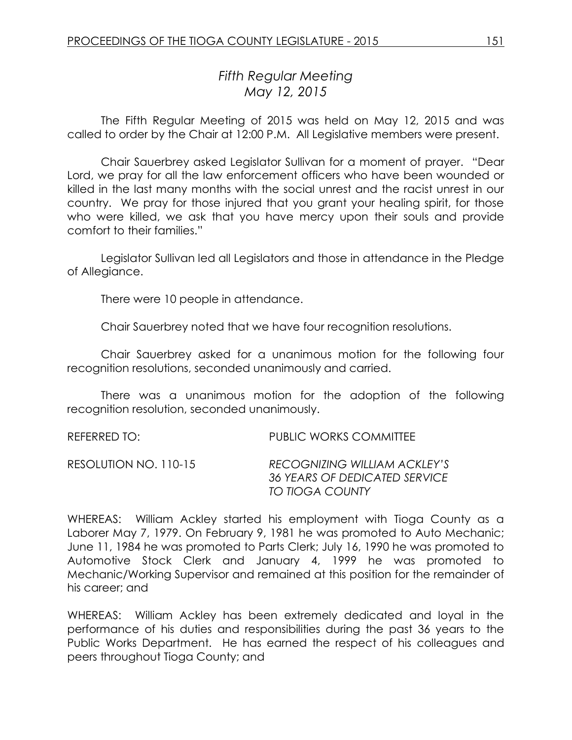# *Fifth Regular Meeting May 12, 2015*

The Fifth Regular Meeting of 2015 was held on May 12, 2015 and was called to order by the Chair at 12:00 P.M. All Legislative members were present.

Chair Sauerbrey asked Legislator Sullivan for a moment of prayer. "Dear Lord, we pray for all the law enforcement officers who have been wounded or killed in the last many months with the social unrest and the racist unrest in our country. We pray for those injured that you grant your healing spirit, for those who were killed, we ask that you have mercy upon their souls and provide comfort to their families."

Legislator Sullivan led all Legislators and those in attendance in the Pledge of Allegiance.

There were 10 people in attendance.

Chair Sauerbrey noted that we have four recognition resolutions.

Chair Sauerbrey asked for a unanimous motion for the following four recognition resolutions, seconded unanimously and carried.

There was a unanimous motion for the adoption of the following recognition resolution, seconded unanimously.

REFERRED TO: THE REFERRED TO: PUBLIC WORKS COMMITTEE

| RECOGNIZING WILLIAM ACKLEY'S  |
|-------------------------------|
| 36 YEARS OF DEDICATED SERVICE |
| TO TIOGA COUNTY               |
|                               |

WHEREAS: William Ackley started his employment with Tioga County as a Laborer May 7, 1979. On February 9, 1981 he was promoted to Auto Mechanic; June 11, 1984 he was promoted to Parts Clerk; July 16, 1990 he was promoted to Automotive Stock Clerk and January 4, 1999 he was promoted to Mechanic/Working Supervisor and remained at this position for the remainder of his career; and

WHEREAS: William Ackley has been extremely dedicated and loyal in the performance of his duties and responsibilities during the past 36 years to the Public Works Department. He has earned the respect of his colleagues and peers throughout Tioga County; and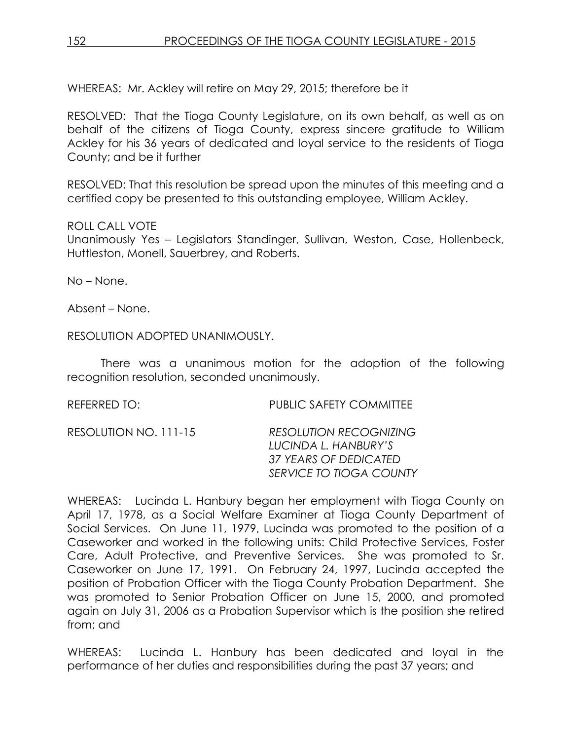WHEREAS: Mr. Ackley will retire on May 29, 2015; therefore be it

RESOLVED: That the Tioga County Legislature, on its own behalf, as well as on behalf of the citizens of Tioga County, express sincere gratitude to William Ackley for his 36 years of dedicated and loyal service to the residents of Tioga County; and be it further

RESOLVED: That this resolution be spread upon the minutes of this meeting and a certified copy be presented to this outstanding employee, William Ackley.

# ROLL CALL VOTE

Unanimously Yes – Legislators Standinger, Sullivan, Weston, Case, Hollenbeck, Huttleston, Monell, Sauerbrey, and Roberts.

No – None.

Absent – None.

RESOLUTION ADOPTED UNANIMOUSLY.

There was a unanimous motion for the adoption of the following recognition resolution, seconded unanimously.

REFERRED TO: PUBLIC SAFETY COMMITTEE RESOLUTION NO. 111-15 *RESOLUTION RECOGNIZING LUCINDA L. HANBURY'S 37 YEARS OF DEDICATED SERVICE TO TIOGA COUNTY*

WHEREAS: Lucinda L. Hanbury began her employment with Tioga County on April 17, 1978, as a Social Welfare Examiner at Tioga County Department of Social Services. On June 11, 1979, Lucinda was promoted to the position of a Caseworker and worked in the following units: Child Protective Services, Foster Care, Adult Protective, and Preventive Services. She was promoted to Sr. Caseworker on June 17, 1991. On February 24, 1997, Lucinda accepted the position of Probation Officer with the Tioga County Probation Department. She was promoted to Senior Probation Officer on June 15, 2000, and promoted again on July 31, 2006 as a Probation Supervisor which is the position she retired from; and

WHEREAS: Lucinda L. Hanbury has been dedicated and loyal in the performance of her duties and responsibilities during the past 37 years; and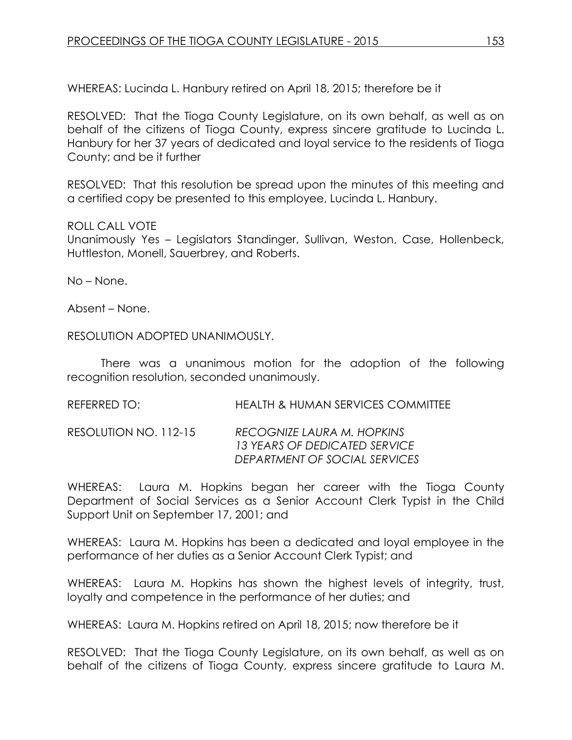WHEREAS: Lucinda L. Hanbury retired on April 18, 2015; therefore be it

RESOLVED: That the Tioga County Legislature, on its own behalf, as well as on behalf of the citizens of Tioga County, express sincere gratitude to Lucinda L. Hanbury for her 37 years of dedicated and loyal service to the residents of Tioga County; and be it further

RESOLVED: That this resolution be spread upon the minutes of this meeting and a certified copy be presented to this employee, Lucinda L. Hanbury.

# ROLL CALL VOTE

Unanimously Yes – Legislators Standinger, Sullivan, Weston, Case, Hollenbeck, Huttleston, Monell, Sauerbrey, and Roberts.

No – None.

Absent – None.

RESOLUTION ADOPTED UNANIMOUSLY.

There was a unanimous motion for the adoption of the following recognition resolution, seconded unanimously.

REFERRED TO: HEALTH & HUMAN SERVICES COMMITTEE

RESOLUTION NO. 112-15 *RECOGNIZE LAURA M. HOPKINS 13 YEARS OF DEDICATED SERVICE DEPARTMENT OF SOCIAL SERVICES*

WHEREAS: Laura M. Hopkins began her career with the Tioga County Department of Social Services as a Senior Account Clerk Typist in the Child Support Unit on September 17, 2001; and

WHEREAS: Laura M. Hopkins has been a dedicated and loyal employee in the performance of her duties as a Senior Account Clerk Typist; and

WHEREAS: Laura M. Hopkins has shown the highest levels of integrity, trust, loyalty and competence in the performance of her duties; and

WHEREAS: Laura M. Hopkins retired on April 18, 2015; now therefore be it

RESOLVED:That the Tioga County Legislature, on its own behalf, as well as on behalf of the citizens of Tioga County, express sincere gratitude to Laura M.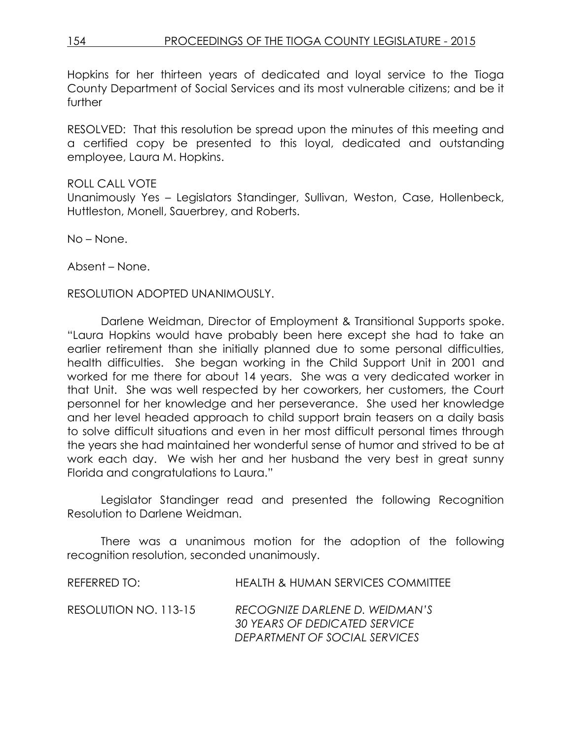Hopkins for her thirteen years of dedicated and loyal service to the Tioga County Department of Social Services and its most vulnerable citizens; and be it further

RESOLVED: That this resolution be spread upon the minutes of this meeting and a certified copy be presented to this loyal, dedicated and outstanding employee, Laura M. Hopkins.

# ROLL CALL VOTE Unanimously Yes – Legislators Standinger, Sullivan, Weston, Case, Hollenbeck, Huttleston, Monell, Sauerbrey, and Roberts.

No – None.

Absent – None.

#### RESOLUTION ADOPTED UNANIMOUSLY.

Darlene Weidman, Director of Employment & Transitional Supports spoke. "Laura Hopkins would have probably been here except she had to take an earlier retirement than she initially planned due to some personal difficulties, health difficulties. She began working in the Child Support Unit in 2001 and worked for me there for about 14 years. She was a very dedicated worker in that Unit. She was well respected by her coworkers, her customers, the Court personnel for her knowledge and her perseverance. She used her knowledge and her level headed approach to child support brain teasers on a daily basis to solve difficult situations and even in her most difficult personal times through the years she had maintained her wonderful sense of humor and strived to be at work each day. We wish her and her husband the very best in great sunny Florida and congratulations to Laura."

Legislator Standinger read and presented the following Recognition Resolution to Darlene Weidman.

There was a unanimous motion for the adoption of the following recognition resolution, seconded unanimously.

REFERRED TO: HEALTH & HUMAN SERVICES COMMITTEE RESOLUTION NO. 113-15 *RECOGNIZE DARLENE D. WEIDMAN'S 30 YEARS OF DEDICATED SERVICE DEPARTMENT OF SOCIAL SERVICES*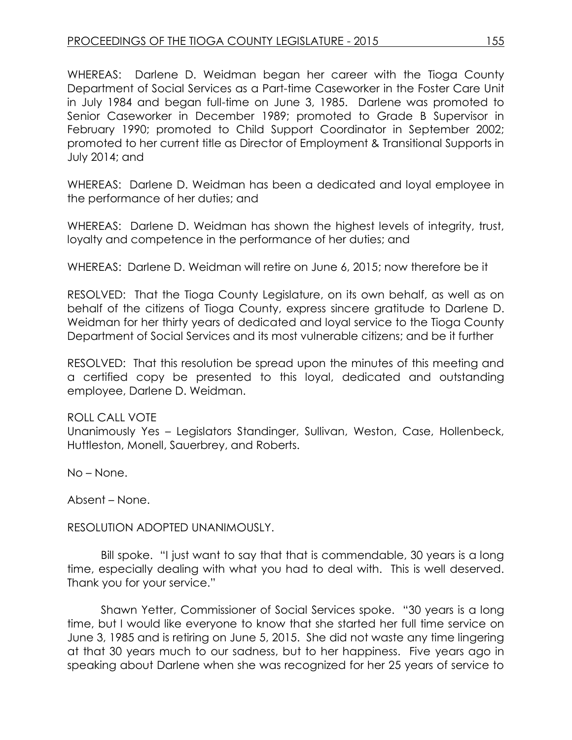WHEREAS: Darlene D. Weidman began her career with the Tioga County Department of Social Services as a Part-time Caseworker in the Foster Care Unit in July 1984 and began full-time on June 3, 1985. Darlene was promoted to Senior Caseworker in December 1989; promoted to Grade B Supervisor in February 1990; promoted to Child Support Coordinator in September 2002; promoted to her current title as Director of Employment & Transitional Supports in July 2014; and

WHEREAS: Darlene D. Weidman has been a dedicated and loyal employee in the performance of her duties; and

WHEREAS: Darlene D. Weidman has shown the highest levels of integrity, trust, loyalty and competence in the performance of her duties; and

WHEREAS: Darlene D. Weidman will retire on June 6, 2015; now therefore be it

RESOLVED:That the Tioga County Legislature, on its own behalf, as well as on behalf of the citizens of Tioga County, express sincere gratitude to Darlene D. Weidman for her thirty years of dedicated and loyal service to the Tioga County Department of Social Services and its most vulnerable citizens; and be it further

RESOLVED: That this resolution be spread upon the minutes of this meeting and a certified copy be presented to this loyal, dedicated and outstanding employee, Darlene D. Weidman.

ROLL CALL VOTE Unanimously Yes – Legislators Standinger, Sullivan, Weston, Case, Hollenbeck, Huttleston, Monell, Sauerbrey, and Roberts.

No – None.

Absent – None.

RESOLUTION ADOPTED UNANIMOUSLY.

Bill spoke. "I just want to say that that is commendable, 30 years is a long time, especially dealing with what you had to deal with. This is well deserved. Thank you for your service."

Shawn Yetter, Commissioner of Social Services spoke. "30 years is a long time, but I would like everyone to know that she started her full time service on June 3, 1985 and is retiring on June 5, 2015. She did not waste any time lingering at that 30 years much to our sadness, but to her happiness. Five years ago in speaking about Darlene when she was recognized for her 25 years of service to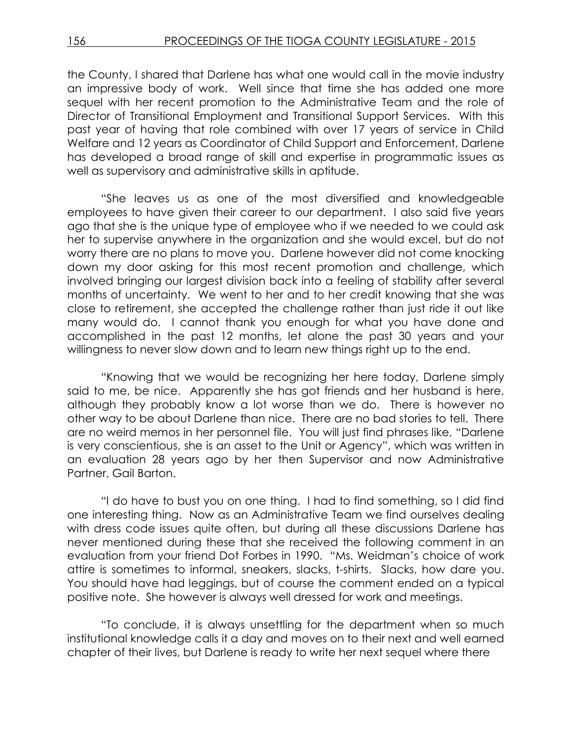the County, I shared that Darlene has what one would call in the movie industry an impressive body of work. Well since that time she has added one more sequel with her recent promotion to the Administrative Team and the role of Director of Transitional Employment and Transitional Support Services. With this past year of having that role combined with over 17 years of service in Child Welfare and 12 years as Coordinator of Child Support and Enforcement, Darlene has developed a broad range of skill and expertise in programmatic issues as well as supervisory and administrative skills in aptitude.

"She leaves us as one of the most diversified and knowledgeable employees to have given their career to our department. I also said five years ago that she is the unique type of employee who if we needed to we could ask her to supervise anywhere in the organization and she would excel, but do not worry there are no plans to move you. Darlene however did not come knocking down my door asking for this most recent promotion and challenge, which involved bringing our largest division back into a feeling of stability after several months of uncertainty. We went to her and to her credit knowing that she was close to retirement, she accepted the challenge rather than just ride it out like many would do. I cannot thank you enough for what you have done and accomplished in the past 12 months, let alone the past 30 years and your willingness to never slow down and to learn new things right up to the end.

"Knowing that we would be recognizing her here today, Darlene simply said to me, be nice. Apparently she has got friends and her husband is here, although they probably know a lot worse than we do. There is however no other way to be about Darlene than nice. There are no bad stories to tell. There are no weird memos in her personnel file. You will just find phrases like, "Darlene is very conscientious, she is an asset to the Unit or Agency", which was written in an evaluation 28 years ago by her then Supervisor and now Administrative Partner, Gail Barton.

"I do have to bust you on one thing. I had to find something, so I did find one interesting thing. Now as an Administrative Team we find ourselves dealing with dress code issues quite often, but during all these discussions Darlene has never mentioned during these that she received the following comment in an evaluation from your friend Dot Forbes in 1990. "Ms. Weidman's choice of work attire is sometimes to informal, sneakers, slacks, t-shirts. Slacks, how dare you. You should have had leggings, but of course the comment ended on a typical positive note. She however is always well dressed for work and meetings.

"To conclude, it is always unsettling for the department when so much institutional knowledge calls it a day and moves on to their next and well earned chapter of their lives, but Darlene is ready to write her next sequel where there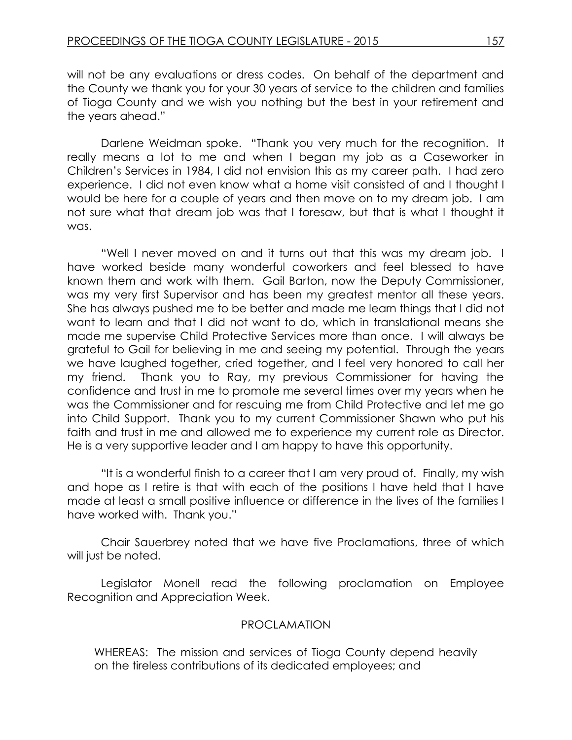will not be any evaluations or dress codes. On behalf of the department and the County we thank you for your 30 years of service to the children and families of Tioga County and we wish you nothing but the best in your retirement and the years ahead."

Darlene Weidman spoke. "Thank you very much for the recognition. It really means a lot to me and when I began my job as a Caseworker in Children's Services in 1984, I did not envision this as my career path. I had zero experience. I did not even know what a home visit consisted of and I thought I would be here for a couple of years and then move on to my dream job. I am not sure what that dream job was that I foresaw, but that is what I thought it was.

"Well I never moved on and it turns out that this was my dream job. I have worked beside many wonderful coworkers and feel blessed to have known them and work with them. Gail Barton, now the Deputy Commissioner, was my very first Supervisor and has been my greatest mentor all these years. She has always pushed me to be better and made me learn things that I did not want to learn and that I did not want to do, which in translational means she made me supervise Child Protective Services more than once. I will always be grateful to Gail for believing in me and seeing my potential. Through the years we have laughed together, cried together, and I feel very honored to call her my friend. Thank you to Ray, my previous Commissioner for having the confidence and trust in me to promote me several times over my years when he was the Commissioner and for rescuing me from Child Protective and let me go into Child Support. Thank you to my current Commissioner Shawn who put his faith and trust in me and allowed me to experience my current role as Director. He is a very supportive leader and I am happy to have this opportunity.

"It is a wonderful finish to a career that I am very proud of. Finally, my wish and hope as I retire is that with each of the positions I have held that I have made at least a small positive influence or difference in the lives of the families I have worked with. Thank you."

Chair Sauerbrey noted that we have five Proclamations, three of which will just be noted.

Legislator Monell read the following proclamation on Employee Recognition and Appreciation Week.

# PROCLAMATION

WHEREAS: The mission and services of Tioga County depend heavily on the tireless contributions of its dedicated employees; and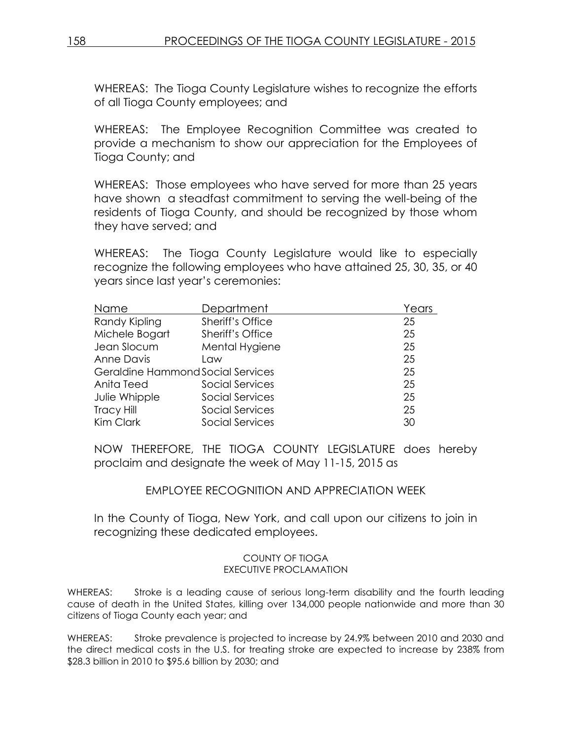WHEREAS: The Tioga County Legislature wishes to recognize the efforts of all Tioga County employees; and

WHEREAS: The Employee Recognition Committee was created to provide a mechanism to show our appreciation for the Employees of Tioga County; and

WHEREAS: Those employees who have served for more than 25 years have shown a steadfast commitment to serving the well-being of the residents of Tioga County, and should be recognized by those whom they have served; and

WHEREAS: The Tioga County Legislature would like to especially recognize the following employees who have attained 25, 30, 35, or 40 years since last year's ceremonies:

| Name                              | Department       | Years |
|-----------------------------------|------------------|-------|
| Randy Kipling                     | Sheriff's Office | 25    |
| Michele Bogart                    | Sheriff's Office | 25    |
| Jean Slocum                       | Mental Hygiene   | 25    |
| <b>Anne Davis</b>                 | Law              | 25    |
| Geraldine Hammond Social Services |                  | 25    |
| Anita Teed                        | Social Services  | 25    |
| Julie Whipple                     | Social Services  | 25    |
| <b>Tracy Hill</b>                 | Social Services  | 25    |
| Kim Clark                         | Social Services  | 30    |

NOW THEREFORE, THE TIOGA COUNTY LEGISLATURE does hereby proclaim and designate the week of May 11-15, 2015 as

EMPLOYEE RECOGNITION AND APPRECIATION WEEK

In the County of Tioga, New York, and call upon our citizens to join in recognizing these dedicated employees.

#### COUNTY OF TIOGA EXECUTIVE PROCLAMATION

WHEREAS: Stroke is a leading cause of serious long-term disability and the fourth leading cause of death in the United States, killing over 134,000 people nationwide and more than 30 citizens of Tioga County each year; and

WHEREAS: Stroke prevalence is projected to increase by 24.9% between 2010 and 2030 and the direct medical costs in the U.S. for treating stroke are expected to increase by 238% from \$28.3 billion in 2010 to \$95.6 billion by 2030; and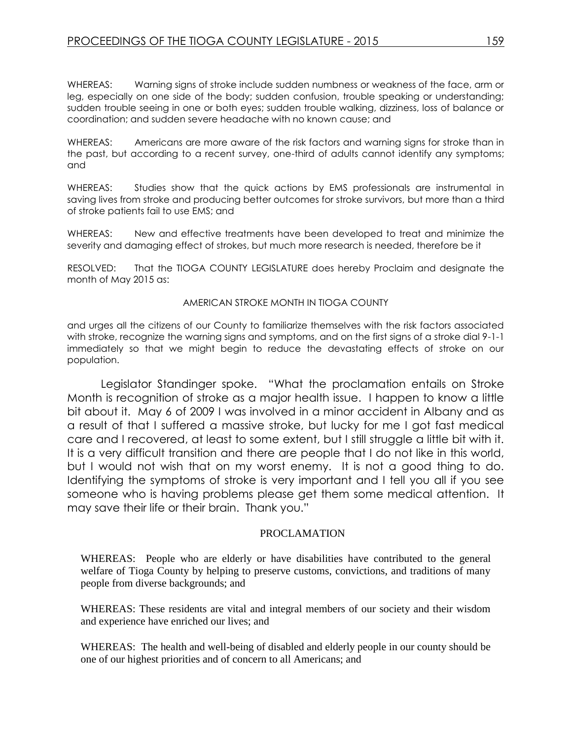WHEREAS: Warning signs of stroke include sudden numbness or weakness of the face, arm or leg, especially on one side of the body; sudden confusion, trouble speaking or understanding; sudden trouble seeing in one or both eyes; sudden trouble walking, dizziness, loss of balance or coordination; and sudden severe headache with no known cause; and

WHEREAS: Americans are more aware of the risk factors and warning signs for stroke than in the past, but according to a recent survey, one-third of adults cannot identify any symptoms; and

WHEREAS: Studies show that the quick actions by EMS professionals are instrumental in saving lives from stroke and producing better outcomes for stroke survivors, but more than a third of stroke patients fail to use EMS; and

WHEREAS: New and effective treatments have been developed to treat and minimize the severity and damaging effect of strokes, but much more research is needed, therefore be it

RESOLVED: That the TIOGA COUNTY LEGISLATURE does hereby Proclaim and designate the month of May 2015 as:

#### AMERICAN STROKE MONTH IN TIOGA COUNTY

and urges all the citizens of our County to familiarize themselves with the risk factors associated with stroke, recognize the warning signs and symptoms, and on the first signs of a stroke dial 9-1-1 immediately so that we might begin to reduce the devastating effects of stroke on our population.

Legislator Standinger spoke. "What the proclamation entails on Stroke Month is recognition of stroke as a major health issue. I happen to know a little bit about it. May 6 of 2009 I was involved in a minor accident in Albany and as a result of that I suffered a massive stroke, but lucky for me I got fast medical care and I recovered, at least to some extent, but I still struggle a little bit with it. It is a very difficult transition and there are people that I do not like in this world, but I would not wish that on my worst enemy. It is not a good thing to do. Identifying the symptoms of stroke is very important and I tell you all if you see someone who is having problems please get them some medical attention. It may save their life or their brain. Thank you."

#### PROCLAMATION

WHEREAS: People who are elderly or have disabilities have contributed to the general welfare of Tioga County by helping to preserve customs, convictions, and traditions of many people from diverse backgrounds; and

WHEREAS: These residents are vital and integral members of our society and their wisdom and experience have enriched our lives; and

WHEREAS: The health and well-being of disabled and elderly people in our county should be one of our highest priorities and of concern to all Americans; and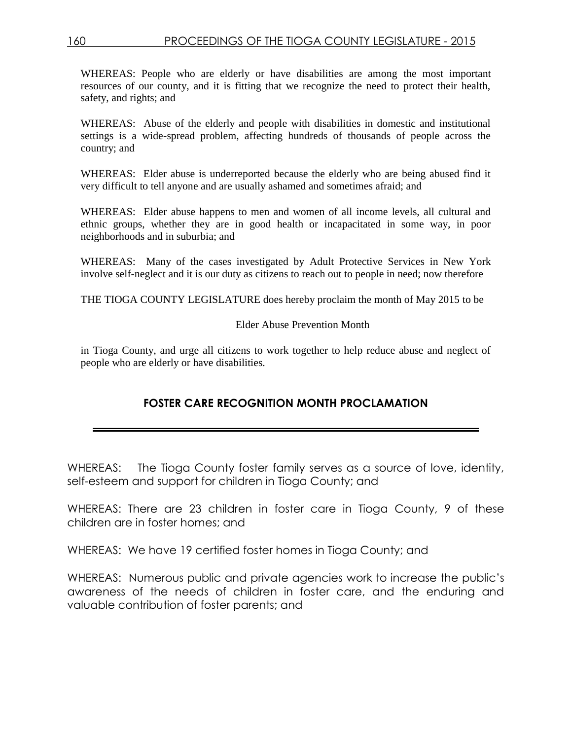WHEREAS: People who are elderly or have disabilities are among the most important resources of our county, and it is fitting that we recognize the need to protect their health, safety, and rights; and

WHEREAS: Abuse of the elderly and people with disabilities in domestic and institutional settings is a wide-spread problem, affecting hundreds of thousands of people across the country; and

WHEREAS: Elder abuse is underreported because the elderly who are being abused find it very difficult to tell anyone and are usually ashamed and sometimes afraid; and

WHEREAS: Elder abuse happens to men and women of all income levels, all cultural and ethnic groups, whether they are in good health or incapacitated in some way, in poor neighborhoods and in suburbia; and

WHEREAS: Many of the cases investigated by Adult Protective Services in New York involve self-neglect and it is our duty as citizens to reach out to people in need; now therefore

THE TIOGA COUNTY LEGISLATURE does hereby proclaim the month of May 2015 to be

#### Elder Abuse Prevention Month

in Tioga County, and urge all citizens to work together to help reduce abuse and neglect of people who are elderly or have disabilities.

# **FOSTER CARE RECOGNITION MONTH PROCLAMATION**

WHEREAS: The Tioga County foster family serves as a source of love, identity, self-esteem and support for children in Tioga County; and

WHEREAS: There are 23 children in foster care in Tioga County, 9 of these children are in foster homes; and

WHEREAS: We have 19 certified foster homes in Tioga County; and

WHEREAS: Numerous public and private agencies work to increase the public's awareness of the needs of children in foster care, and the enduring and valuable contribution of foster parents; and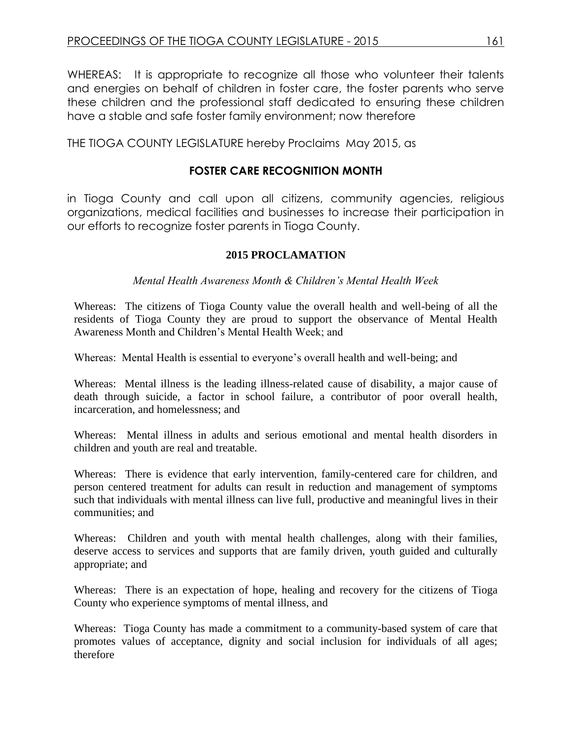WHEREAS: It is appropriate to recognize all those who volunteer their talents and energies on behalf of children in foster care, the foster parents who serve these children and the professional staff dedicated to ensuring these children have a stable and safe foster family environment; now therefore

THE TIOGA COUNTY LEGISLATURE hereby Proclaims May 2015, as

# **FOSTER CARE RECOGNITION MONTH**

in Tioga County and call upon all citizens, community agencies, religious organizations, medical facilities and businesses to increase their participation in our efforts to recognize foster parents in Tioga County.

# **2015 PROCLAMATION**

*Mental Health Awareness Month & Children's Mental Health Week* 

Whereas: The citizens of Tioga County value the overall health and well-being of all the residents of Tioga County they are proud to support the observance of Mental Health Awareness Month and Children's Mental Health Week; and

Whereas: Mental Health is essential to everyone's overall health and well-being; and

Whereas: Mental illness is the leading illness-related cause of disability, a major cause of death through suicide, a factor in school failure, a contributor of poor overall health, incarceration, and homelessness; and

Whereas: Mental illness in adults and serious emotional and mental health disorders in children and youth are real and treatable.

Whereas: There is evidence that early intervention, family-centered care for children, and person centered treatment for adults can result in reduction and management of symptoms such that individuals with mental illness can live full, productive and meaningful lives in their communities; and

Whereas: Children and youth with mental health challenges, along with their families, deserve access to services and supports that are family driven, youth guided and culturally appropriate; and

Whereas: There is an expectation of hope, healing and recovery for the citizens of Tioga County who experience symptoms of mental illness, and

Whereas: Tioga County has made a commitment to a community-based system of care that promotes values of acceptance, dignity and social inclusion for individuals of all ages; therefore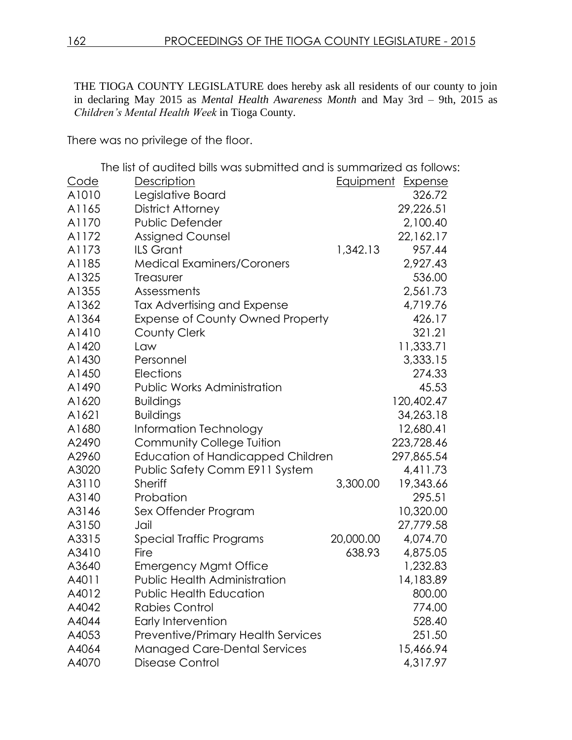THE TIOGA COUNTY LEGISLATURE does hereby ask all residents of our county to join in declaring May 2015 as *Mental Health Awareness Month* and May 3rd – 9th, 2015 as *Children's Mental Health Week* in Tioga County.

There was no privilege of the floor.

The list of audited bills was submitted and is summarized as follows:

| <u>Code</u> | <u>Description</u>                        | Equipment | Expense    |
|-------------|-------------------------------------------|-----------|------------|
| A1010       | Legislative Board                         |           | 326.72     |
| A1165       | District Attorney                         |           | 29,226.51  |
| A1170       | <b>Public Defender</b>                    |           | 2,100.40   |
| A1172       | <b>Assigned Counsel</b>                   |           | 22,162.17  |
| A1173       | <b>ILS Grant</b>                          | 1,342.13  | 957.44     |
| A1185       | <b>Medical Examiners/Coroners</b>         |           | 2,927.43   |
| A1325       | Treasurer                                 |           | 536.00     |
| A1355       | Assessments                               |           | 2,561.73   |
| A1362       | Tax Advertising and Expense               |           | 4,719.76   |
| A1364       | Expense of County Owned Property          |           | 426.17     |
| A1410       | <b>County Clerk</b>                       |           | 321.21     |
| A1420       | Law                                       |           | 11,333.71  |
| A1430       | Personnel                                 |           | 3,333.15   |
| A1450       | Elections                                 |           | 274.33     |
| A1490       | <b>Public Works Administration</b>        |           | 45.53      |
| A1620       | <b>Buildings</b>                          |           | 120,402.47 |
| A1621       | <b>Buildings</b>                          |           | 34,263.18  |
| A1680       | Information Technology                    |           | 12,680.41  |
| A2490       | Community College Tuition                 |           | 223,728.46 |
| A2960       | <b>Education of Handicapped Children</b>  |           | 297,865.54 |
| A3020       | Public Safety Comm E911 System            |           | 4,411.73   |
| A3110       | <b>Sheriff</b>                            | 3,300.00  | 19,343.66  |
| A3140       | Probation                                 |           | 295.51     |
| A3146       | Sex Offender Program                      |           | 10,320.00  |
| A3150       | Jail                                      |           | 27,779.58  |
| A3315       | Special Traffic Programs                  | 20,000.00 | 4,074.70   |
| A3410       | Fire                                      | 638.93    | 4,875.05   |
| A3640       | <b>Emergency Mgmt Office</b>              |           | 1,232.83   |
| A4011       | <b>Public Health Administration</b>       |           | 14,183.89  |
| A4012       | <b>Public Health Education</b>            |           | 800.00     |
| A4042       | <b>Rabies Control</b>                     |           | 774.00     |
| A4044       | Early Intervention                        |           | 528.40     |
| A4053       | <b>Preventive/Primary Health Services</b> |           | 251.50     |
| A4064       | <b>Managed Care-Dental Services</b>       |           | 15,466.94  |
| A4070       | Disease Control                           |           | 4,317.97   |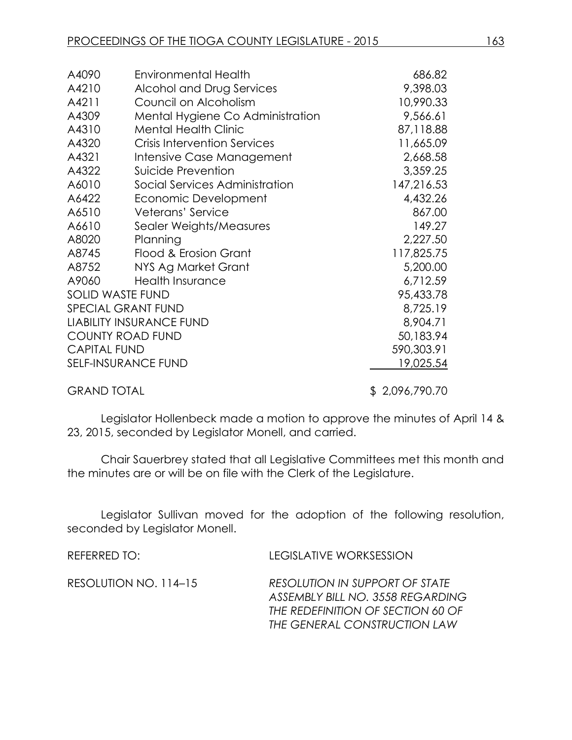| A4090               | <b>Environmental Health</b>         | 686.82         |
|---------------------|-------------------------------------|----------------|
| A4210               | Alcohol and Drug Services           | 9,398.03       |
| A4211               | Council on Alcoholism               | 10,990.33      |
| A4309               | Mental Hygiene Co Administration    | 9,566.61       |
| A4310               | <b>Mental Health Clinic</b>         | 87,118.88      |
| A4320               | <b>Crisis Intervention Services</b> | 11,665.09      |
| A4321               | Intensive Case Management           | 2,668.58       |
| A4322               | Suicide Prevention                  | 3,359.25       |
| A6010               | Social Services Administration      | 147,216.53     |
| A6422               | Economic Development                | 4,432.26       |
| A6510               | Veterans' Service                   | 867.00         |
| A6610               | Sealer Weights/Measures             | 149.27         |
| A8020               | Planning                            | 2,227.50       |
| A8745               | Flood & Erosion Grant               | 117,825.75     |
| A8752               | NYS Ag Market Grant                 | 5,200.00       |
| A9060               | <b>Health Insurance</b>             | 6,712.59       |
|                     | <b>SOLID WASTE FUND</b>             | 95,433.78      |
|                     | <b>SPECIAL GRANT FUND</b>           | 8,725.19       |
|                     | <b>LIABILITY INSURANCE FUND</b>     | 8,904.71       |
|                     | <b>COUNTY ROAD FUND</b>             | 50,183.94      |
| <b>CAPITAL FUND</b> |                                     | 590,303.91     |
|                     | SELF-INSURANCE FUND                 | 19,025.54      |
| <b>GRAND TOTAL</b>  |                                     | \$2,096,790.70 |

Legislator Hollenbeck made a motion to approve the minutes of April 14 & 23, 2015, seconded by Legislator Monell, and carried.

Chair Sauerbrey stated that all Legislative Committees met this month and the minutes are or will be on file with the Clerk of the Legislature.

Legislator Sullivan moved for the adoption of the following resolution, seconded by Legislator Monell.

| REFERRED TO: I        | <b>LEGISLATIVE WORKSESSION</b>                                                                                                          |
|-----------------------|-----------------------------------------------------------------------------------------------------------------------------------------|
| RESOLUTION NO. 114–15 | RESOLUTION IN SUPPORT OF STATE<br>ASSEMBLY BILL NO. 3558 REGARDING<br>THE REDEFINITION OF SECTION 60 OF<br>THE GENERAL CONSTRUCTION LAW |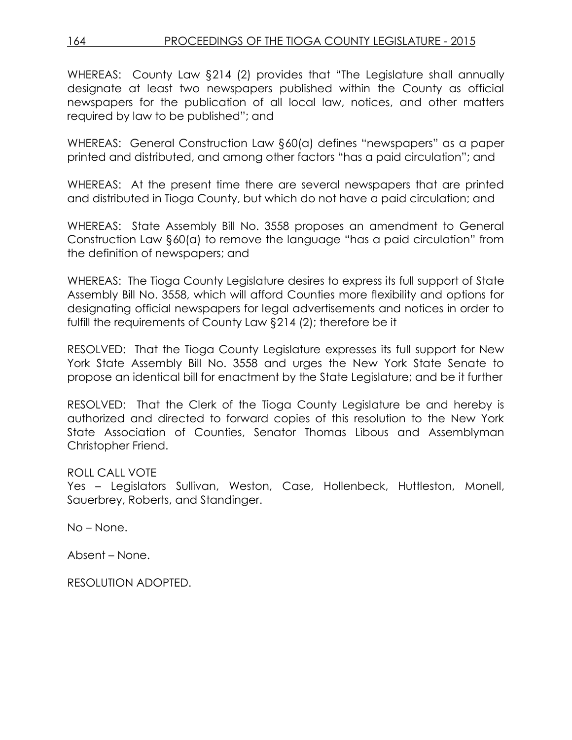WHEREAS: County Law §214 (2) provides that "The Legislature shall annually designate at least two newspapers published within the County as official newspapers for the publication of all local law, notices, and other matters required by law to be published"; and

WHEREAS: General Construction Law §60(a) defines "newspapers" as a paper printed and distributed, and among other factors "has a paid circulation"; and

WHEREAS: At the present time there are several newspapers that are printed and distributed in Tioga County, but which do not have a paid circulation; and

WHEREAS: State Assembly Bill No. 3558 proposes an amendment to General Construction Law §60(a) to remove the language "has a paid circulation" from the definition of newspapers; and

WHEREAS: The Tioga County Legislature desires to express its full support of State Assembly Bill No. 3558, which will afford Counties more flexibility and options for designating official newspapers for legal advertisements and notices in order to fulfill the requirements of County Law §214 (2); therefore be it

RESOLVED: That the Tioga County Legislature expresses its full support for New York State Assembly Bill No. 3558 and urges the New York State Senate to propose an identical bill for enactment by the State Legislature; and be it further

RESOLVED: That the Clerk of the Tioga County Legislature be and hereby is authorized and directed to forward copies of this resolution to the New York State Association of Counties, Senator Thomas Libous and Assemblyman Christopher Friend.

# ROLL CALL VOTE

Yes - Legislators Sullivan, Weston, Case, Hollenbeck, Huttleston, Monell, Sauerbrey, Roberts, and Standinger.

No – None.

Absent – None.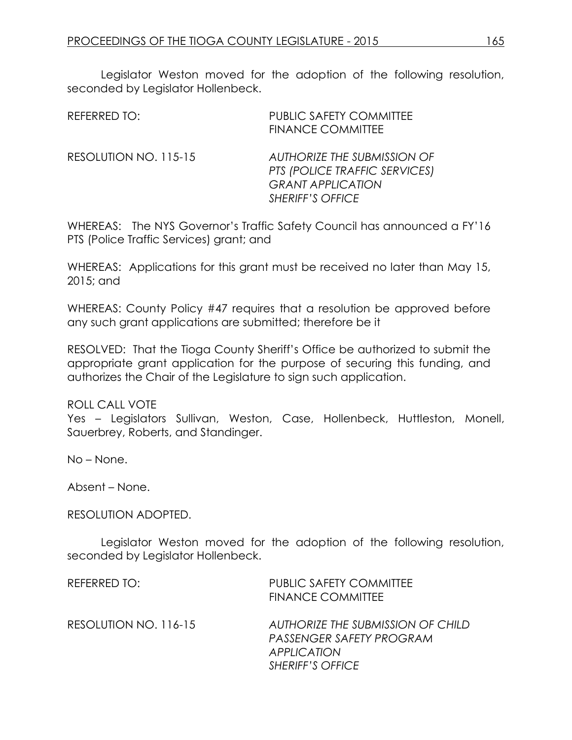Legislator Weston moved for the adoption of the following resolution, seconded by Legislator Hollenbeck.

| REFERRED TO:          | <b>PUBLIC SAFETY COMMITTEE</b><br><b>FINANCE COMMITTEE</b>                                                                 |
|-----------------------|----------------------------------------------------------------------------------------------------------------------------|
| RESOLUTION NO. 115-15 | <b>AUTHORIZE THE SUBMISSION OF</b><br>PTS (POLICE TRAFFIC SERVICES)<br><b>GRANT APPLICATION</b><br><b>SHERIFF'S OFFICE</b> |

WHEREAS: The NYS Governor's Traffic Safety Council has announced a FY'16 PTS (Police Traffic Services) grant; and

WHEREAS: Applications for this grant must be received no later than May 15, 2015; and

WHEREAS: County Policy #47 requires that a resolution be approved before any such grant applications are submitted; therefore be it

RESOLVED: That the Tioga County Sheriff's Office be authorized to submit the appropriate grant application for the purpose of securing this funding, and authorizes the Chair of the Legislature to sign such application.

ROLL CALL VOTE

Yes – Legislators Sullivan, Weston, Case, Hollenbeck, Huttleston, Monell, Sauerbrey, Roberts, and Standinger.

No – None.

Absent – None.

RESOLUTION ADOPTED.

Legislator Weston moved for the adoption of the following resolution, seconded by Legislator Hollenbeck.

| REFERRED TO:          | <b>PUBLIC SAFETY COMMITTEE</b><br><b>FINANCE COMMITTEE</b>                                                     |
|-----------------------|----------------------------------------------------------------------------------------------------------------|
| RESOLUTION NO. 116-15 | AUTHORIZE THE SUBMISSION OF CHILD<br>PASSENGER SAFETY PROGRAM<br><b>APPLICATION</b><br><b>SHERIFF'S OFFICE</b> |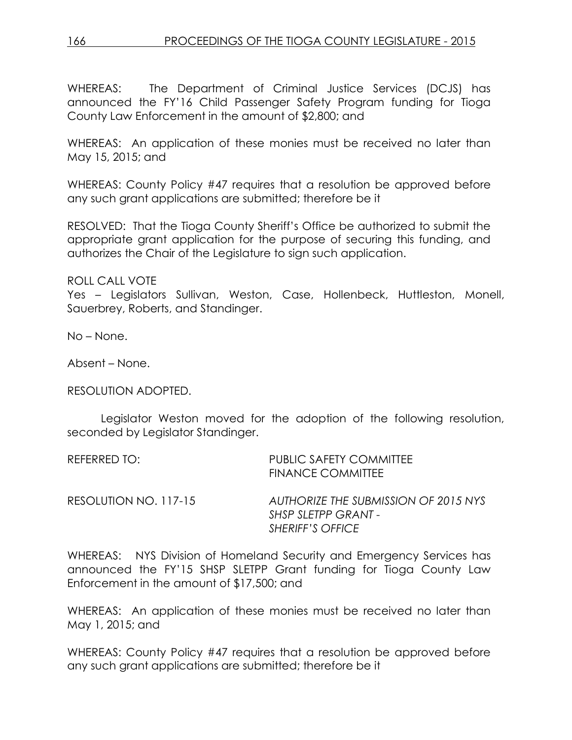WHEREAS: The Department of Criminal Justice Services (DCJS) has announced the FY'16 Child Passenger Safety Program funding for Tioga County Law Enforcement in the amount of \$2,800; and

WHEREAS: An application of these monies must be received no later than May 15, 2015; and

WHEREAS: County Policy #47 requires that a resolution be approved before any such grant applications are submitted; therefore be it

RESOLVED: That the Tioga County Sheriff's Office be authorized to submit the appropriate grant application for the purpose of securing this funding, and authorizes the Chair of the Legislature to sign such application.

ROLL CALL VOTE

Yes – Legislators Sullivan, Weston, Case, Hollenbeck, Huttleston, Monell, Sauerbrey, Roberts, and Standinger.

No – None.

Absent – None.

RESOLUTION ADOPTED.

Legislator Weston moved for the adoption of the following resolution, seconded by Legislator Standinger.

| REFERRED TO:          | <b>PUBLIC SAFETY COMMITTEE</b><br>FINANCE COMMITTEE                                    |
|-----------------------|----------------------------------------------------------------------------------------|
| RESOLUTION NO. 117-15 | AUTHORIZE THE SUBMISSION OF 2015 NYS<br>SHSP SLETPP GRANT -<br><b>SHERIFF'S OFFICE</b> |

WHEREAS: NYS Division of Homeland Security and Emergency Services has announced the FY'15 SHSP SLETPP Grant funding for Tioga County Law Enforcement in the amount of \$17,500; and

WHEREAS: An application of these monies must be received no later than May 1, 2015; and

WHEREAS: County Policy #47 requires that a resolution be approved before any such grant applications are submitted; therefore be it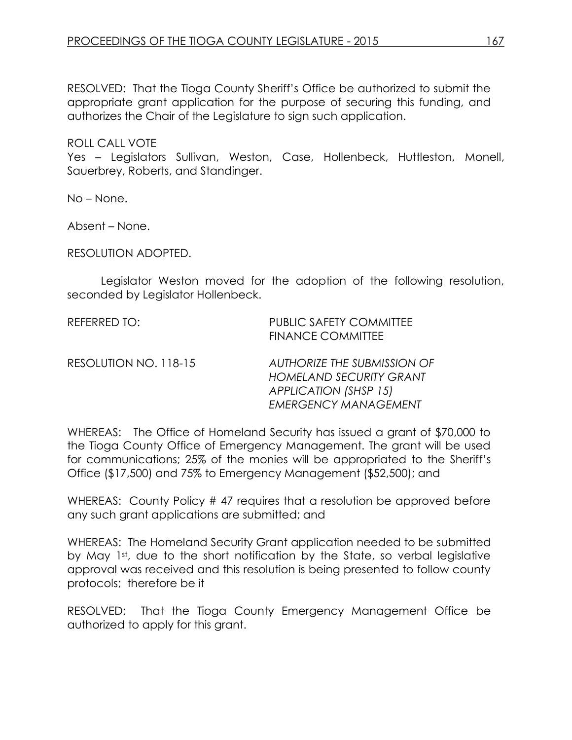RESOLVED: That the Tioga County Sheriff's Office be authorized to submit the appropriate grant application for the purpose of securing this funding, and authorizes the Chair of the Legislature to sign such application.

ROLL CALL VOTE

Yes – Legislators Sullivan, Weston, Case, Hollenbeck, Huttleston, Monell, Sauerbrey, Roberts, and Standinger.

No – None.

Absent – None.

RESOLUTION ADOPTED.

Legislator Weston moved for the adoption of the following resolution, seconded by Legislator Hollenbeck.

| REFERRED TO:          | <b>PUBLIC SAFETY COMMITTEE</b><br><b>FINANCE COMMITTEE</b>                                                            |
|-----------------------|-----------------------------------------------------------------------------------------------------------------------|
| RESOLUTION NO. 118-15 | AUTHORIZE THE SUBMISSION OF<br><b>HOMELAND SECURITY GRANT</b><br>APPLICATION (SHSP 15)<br><b>EMERGENCY MANAGEMENT</b> |

WHEREAS: The Office of Homeland Security has issued a grant of \$70,000 to the Tioga County Office of Emergency Management. The grant will be used for communications; 25% of the monies will be appropriated to the Sheriff's Office (\$17,500) and 75% to Emergency Management (\$52,500); and

WHEREAS: County Policy # 47 requires that a resolution be approved before any such grant applications are submitted; and

WHEREAS: The Homeland Security Grant application needed to be submitted by May 1st, due to the short notification by the State, so verbal legislative approval was received and this resolution is being presented to follow county protocols; therefore be it

RESOLVED: That the Tioga County Emergency Management Office be authorized to apply for this grant.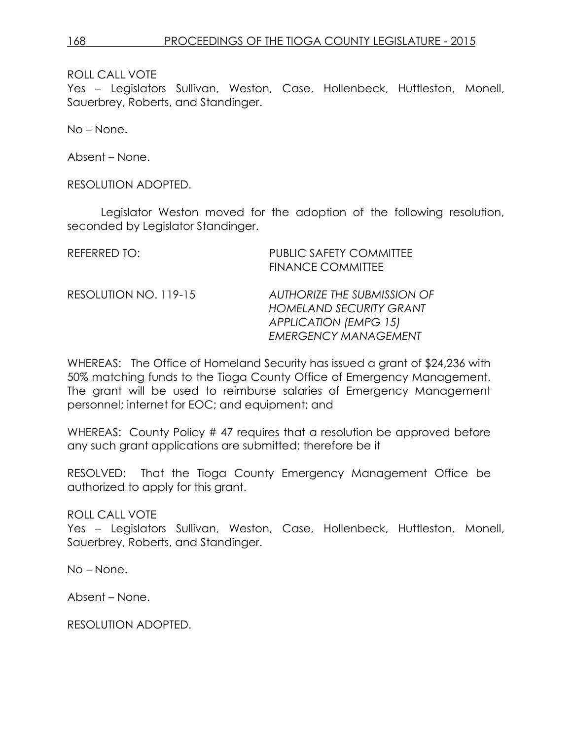Yes – Legislators Sullivan, Weston, Case, Hollenbeck, Huttleston, Monell, Sauerbrey, Roberts, and Standinger.

No – None.

Absent – None.

RESOLUTION ADOPTED.

Legislator Weston moved for the adoption of the following resolution, seconded by Legislator Standinger.

| REFERRED TO:          | <b>PUBLIC SAFETY COMMITTEE</b><br><b>FINANCE COMMITTEE</b>                                                                          |
|-----------------------|-------------------------------------------------------------------------------------------------------------------------------------|
| RESOLUTION NO. 119-15 | <b>AUTHORIZE THE SUBMISSION OF</b><br><b>HOMELAND SECURITY GRANT</b><br><b>APPLICATION (EMPG 15)</b><br><b>EMERGENCY MANAGEMENT</b> |

WHEREAS: The Office of Homeland Security has issued a grant of \$24,236 with 50% matching funds to the Tioga County Office of Emergency Management. The grant will be used to reimburse salaries of Emergency Management personnel; internet for EOC; and equipment; and

WHEREAS: County Policy # 47 requires that a resolution be approved before any such grant applications are submitted; therefore be it

RESOLVED: That the Tioga County Emergency Management Office be authorized to apply for this grant.

ROLL CALL VOTE

Yes – Legislators Sullivan, Weston, Case, Hollenbeck, Huttleston, Monell, Sauerbrey, Roberts, and Standinger.

No – None.

Absent – None.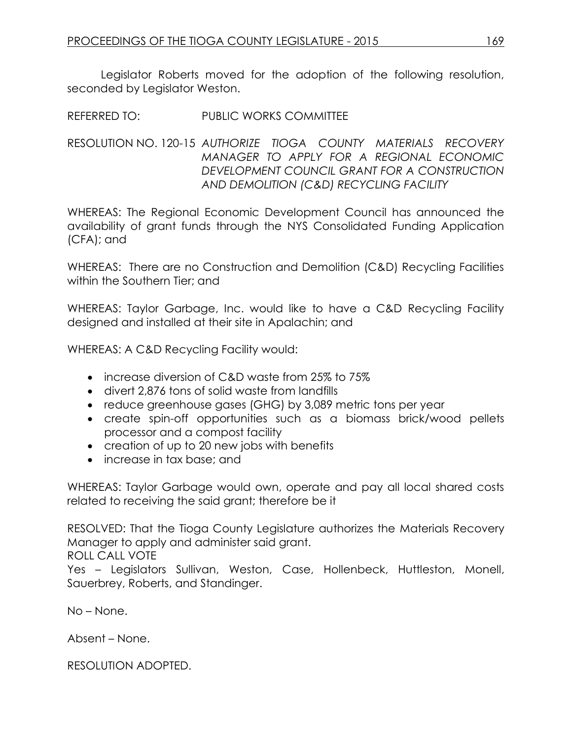Legislator Roberts moved for the adoption of the following resolution, seconded by Legislator Weston.

REFERRED TO: PUBLIC WORKS COMMITTEE

RESOLUTION NO. 120-15 *AUTHORIZE TIOGA COUNTY MATERIALS RECOVERY MANAGER TO APPLY FOR A REGIONAL ECONOMIC DEVELOPMENT COUNCIL GRANT FOR A CONSTRUCTION AND DEMOLITION (C&D) RECYCLING FACILITY*

WHEREAS: The Regional Economic Development Council has announced the availability of grant funds through the NYS Consolidated Funding Application (CFA); and

WHEREAS: There are no Construction and Demolition (C&D) Recycling Facilities within the Southern Tier; and

WHEREAS: Taylor Garbage, Inc. would like to have a C&D Recycling Facility designed and installed at their site in Apalachin; and

WHEREAS: A C&D Recycling Facility would:

- increase diversion of C&D waste from 25% to 75%
- divert 2,876 tons of solid waste from landfills
- reduce greenhouse gases (GHG) by 3,089 metric tons per year
- create spin-off opportunities such as a biomass brick/wood pellets processor and a compost facility
- creation of up to 20 new jobs with benefits
- increase in tax base; and

WHEREAS: Taylor Garbage would own, operate and pay all local shared costs related to receiving the said grant; therefore be it

RESOLVED: That the Tioga County Legislature authorizes the Materials Recovery Manager to apply and administer said grant.

ROLL CALL VOTE

Yes – Legislators Sullivan, Weston, Case, Hollenbeck, Huttleston, Monell, Sauerbrey, Roberts, and Standinger.

No – None.

Absent – None.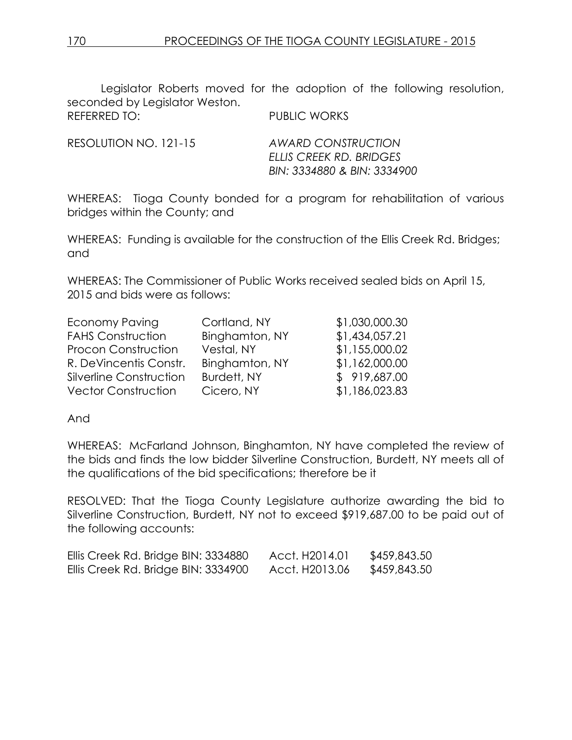Legislator Roberts moved for the adoption of the following resolution, seconded by Legislator Weston. REFERRED TO: PUBLIC WORKS

RESOLUTION NO. 121-15 *AWARD CONSTRUCTION*

*ELLIS CREEK RD. BRIDGES BIN: 3334880 & BIN: 3334900*

WHEREAS: Tioga County bonded for a program for rehabilitation of various bridges within the County; and

WHEREAS: Funding is available for the construction of the Ellis Creek Rd. Bridges; and

WHEREAS: The Commissioner of Public Works received sealed bids on April 15, 2015 and bids were as follows:

| <b>Economy Paving</b>      | Cortland, NY   | \$1,030,000.30 |
|----------------------------|----------------|----------------|
| <b>FAHS Construction</b>   | Binghamton, NY | \$1,434,057.21 |
| <b>Procon Construction</b> | Vestal, NY     | \$1,155,000.02 |
| R. DeVincentis Constr.     | Binghamton, NY | \$1,162,000.00 |
| Silverline Construction    | Burdett, NY    | \$919,687.00   |
| <b>Vector Construction</b> | Cicero, NY     | \$1,186,023.83 |

And

WHEREAS: McFarland Johnson, Binghamton, NY have completed the review of the bids and finds the low bidder Silverline Construction, Burdett, NY meets all of the qualifications of the bid specifications; therefore be it

RESOLVED: That the Tioga County Legislature authorize awarding the bid to Silverline Construction, Burdett, NY not to exceed \$919,687.00 to be paid out of the following accounts:

| Ellis Creek Rd. Bridge BIN: 3334880 | Acct. H2014.01 | \$459,843.50 |
|-------------------------------------|----------------|--------------|
| Ellis Creek Rd. Bridge BIN: 3334900 | Acct. H2013.06 | \$459,843.50 |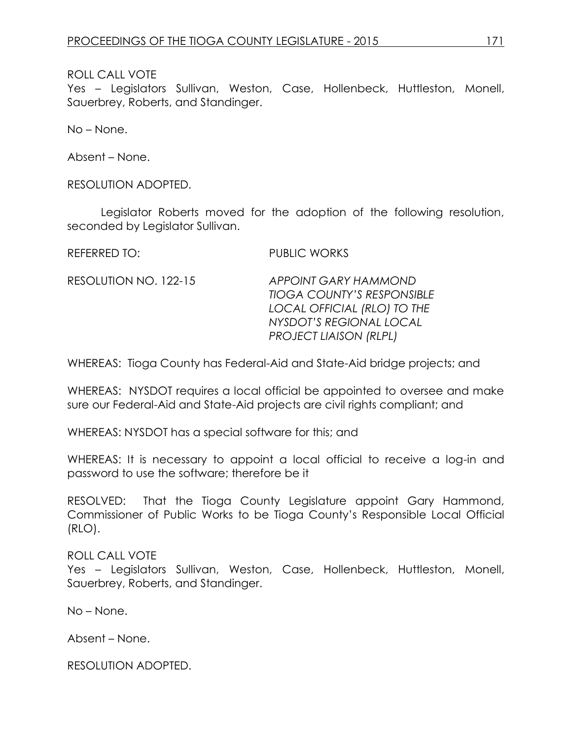Yes – Legislators Sullivan, Weston, Case, Hollenbeck, Huttleston, Monell, Sauerbrey, Roberts, and Standinger.

No – None.

Absent – None.

RESOLUTION ADOPTED.

Legislator Roberts moved for the adoption of the following resolution, seconded by Legislator Sullivan.

REFERRED TO: PUBLIC WORKS

RESOLUTION NO. 122-15 *APPOINT GARY HAMMOND TIOGA COUNTY'S RESPONSIBLE LOCAL OFFICIAL (RLO) TO THE NYSDOT'S REGIONAL LOCAL PROJECT LIAISON (RLPL)*

WHEREAS: Tioga County has Federal-Aid and State-Aid bridge projects; and

WHEREAS: NYSDOT requires a local official be appointed to oversee and make sure our Federal-Aid and State-Aid projects are civil rights compliant; and

WHEREAS: NYSDOT has a special software for this; and

WHEREAS: It is necessary to appoint a local official to receive a log-in and password to use the software; therefore be it

RESOLVED: That the Tioga County Legislature appoint Gary Hammond, Commissioner of Public Works to be Tioga County's Responsible Local Official (RLO).

ROLL CALL VOTE

Yes – Legislators Sullivan, Weston, Case, Hollenbeck, Huttleston, Monell, Sauerbrey, Roberts, and Standinger.

No – None.

Absent – None.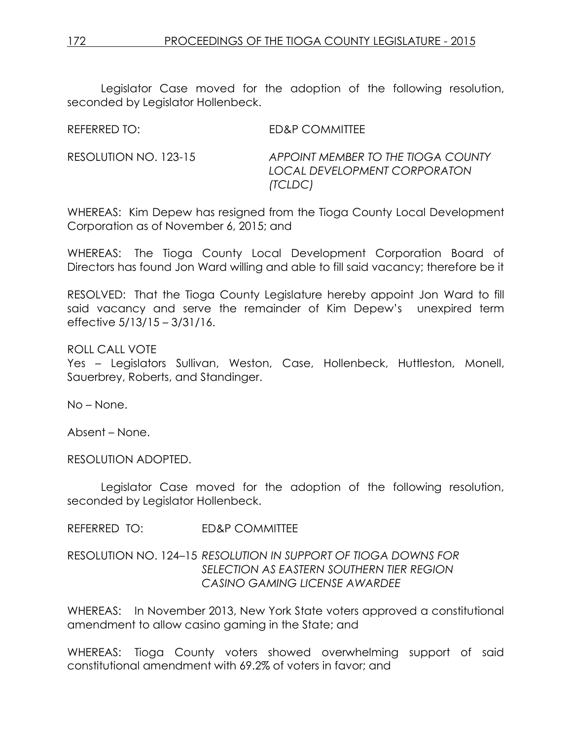Legislator Case moved for the adoption of the following resolution, seconded by Legislator Hollenbeck.

REFERRED TO: ED&P COMMITTEE

RESOLUTION NO. 123-15 *APPOINT MEMBER TO THE TIOGA COUNTY LOCAL DEVELOPMENT CORPORATON (TCLDC)* 

WHEREAS: Kim Depew has resigned from the Tioga County Local Development Corporation as of November 6, 2015; and

WHEREAS: The Tioga County Local Development Corporation Board of Directors has found Jon Ward willing and able to fill said vacancy; therefore be it

RESOLVED: That the Tioga County Legislature hereby appoint Jon Ward to fill said vacancy and serve the remainder of Kim Depew's unexpired term effective 5/13/15 – 3/31/16.

ROLL CALL VOTE

Yes – Legislators Sullivan, Weston, Case, Hollenbeck, Huttleston, Monell, Sauerbrey, Roberts, and Standinger.

No – None.

Absent – None.

RESOLUTION ADOPTED.

Legislator Case moved for the adoption of the following resolution, seconded by Legislator Hollenbeck.

REFERRED TO: ED&P COMMITTEE

RESOLUTION NO. 124–15 *RESOLUTION IN SUPPORT OF TIOGA DOWNS FOR SELECTION AS EASTERN SOUTHERN TIER REGION CASINO GAMING LICENSE AWARDEE*

WHEREAS: In November 2013, New York State voters approved a constitutional amendment to allow casino gaming in the State; and

WHEREAS: Tioga County voters showed overwhelming support of said constitutional amendment with 69.2% of voters in favor; and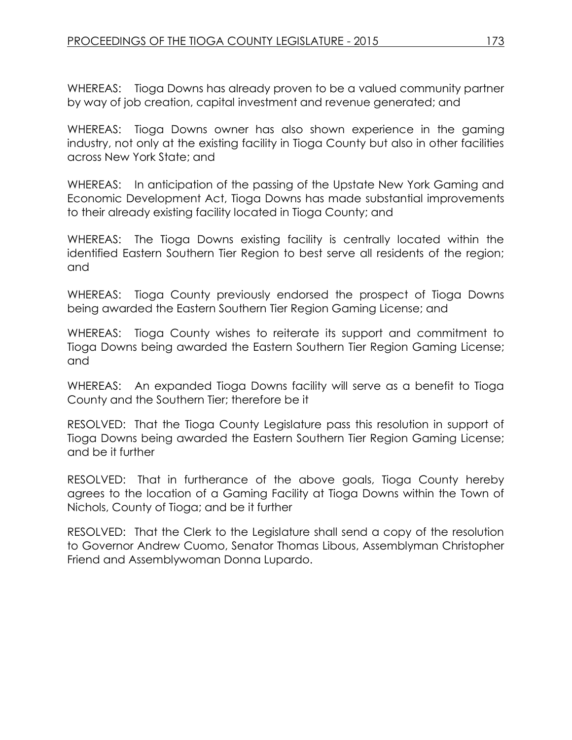WHEREAS: Tioga Downs has already proven to be a valued community partner by way of job creation, capital investment and revenue generated; and

WHEREAS: Tioga Downs owner has also shown experience in the gaming industry, not only at the existing facility in Tioga County but also in other facilities across New York State; and

WHEREAS: In anticipation of the passing of the Upstate New York Gaming and Economic Development Act, Tioga Downs has made substantial improvements to their already existing facility located in Tioga County; and

WHEREAS: The Tioga Downs existing facility is centrally located within the identified Eastern Southern Tier Region to best serve all residents of the region; and

WHEREAS: Tioga County previously endorsed the prospect of Tioga Downs being awarded the Eastern Southern Tier Region Gaming License; and

WHEREAS: Tioga County wishes to reiterate its support and commitment to Tioga Downs being awarded the Eastern Southern Tier Region Gaming License; and

WHEREAS: An expanded Tioga Downs facility will serve as a benefit to Tioga County and the Southern Tier; therefore be it

RESOLVED: That the Tioga County Legislature pass this resolution in support of Tioga Downs being awarded the Eastern Southern Tier Region Gaming License; and be it further

RESOLVED: That in furtherance of the above goals, Tioga County hereby agrees to the location of a Gaming Facility at Tioga Downs within the Town of Nichols, County of Tioga; and be it further

RESOLVED: That the Clerk to the Legislature shall send a copy of the resolution to Governor Andrew Cuomo, Senator Thomas Libous, Assemblyman Christopher Friend and Assemblywoman Donna Lupardo.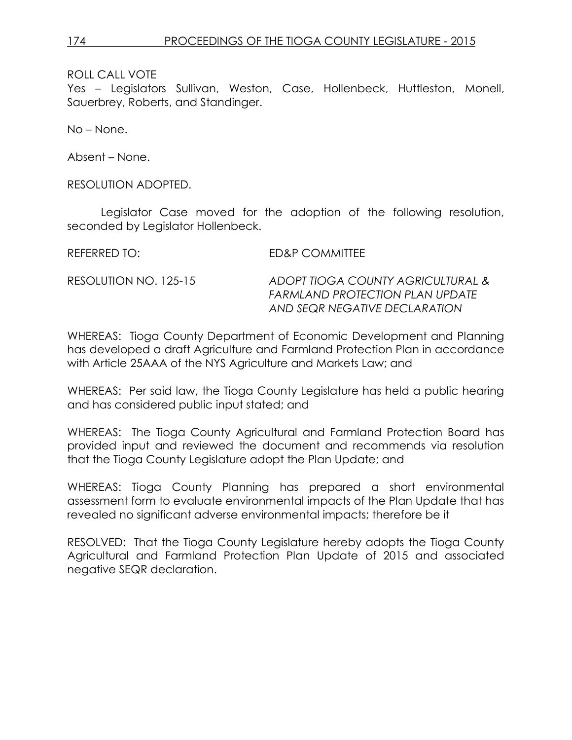Yes – Legislators Sullivan, Weston, Case, Hollenbeck, Huttleston, Monell, Sauerbrey, Roberts, and Standinger.

No – None.

Absent – None.

RESOLUTION ADOPTED.

Legislator Case moved for the adoption of the following resolution, seconded by Legislator Hollenbeck.

REFERRED TO: ED&P COMMITTEE RESOLUTION NO. 125-15 *ADOPT TIOGA COUNTY AGRICULTURAL & FARMLAND PROTECTION PLAN UPDATE AND SEQR NEGATIVE DECLARATION*

WHEREAS: Tioga County Department of Economic Development and Planning has developed a draft Agriculture and Farmland Protection Plan in accordance with Article 25AAA of the NYS Agriculture and Markets Law; and

WHEREAS: Per said law, the Tioga County Legislature has held a public hearing and has considered public input stated; and

WHEREAS: The Tioga County Agricultural and Farmland Protection Board has provided input and reviewed the document and recommends via resolution that the Tioga County Legislature adopt the Plan Update; and

WHEREAS: Tioga County Planning has prepared a short environmental assessment form to evaluate environmental impacts of the Plan Update that has revealed no significant adverse environmental impacts; therefore be it

RESOLVED: That the Tioga County Legislature hereby adopts the Tioga County Agricultural and Farmland Protection Plan Update of 2015 and associated negative SEQR declaration.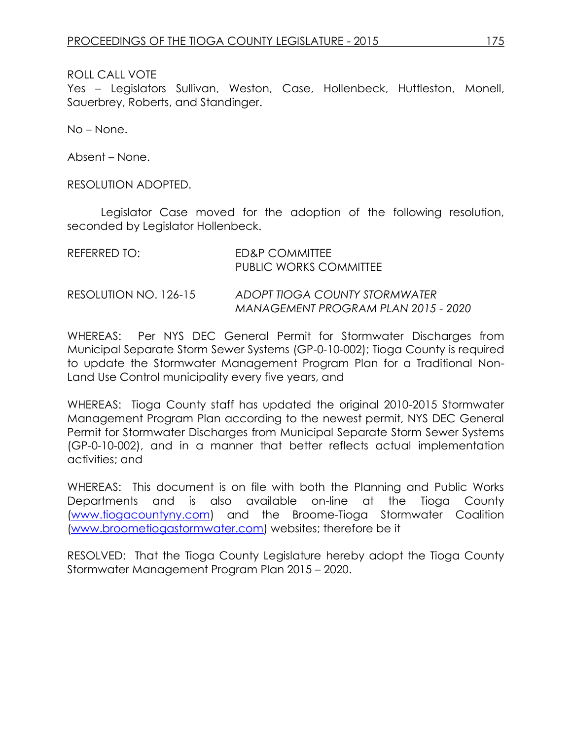Yes – Legislators Sullivan, Weston, Case, Hollenbeck, Huttleston, Monell, Sauerbrey, Roberts, and Standinger.

No – None.

Absent – None.

RESOLUTION ADOPTED.

Legislator Case moved for the adoption of the following resolution, seconded by Legislator Hollenbeck.

| REFERRED TO:          | ED&P COMMITTEE<br>PUBLIC WORKS COMMITTEE                             |
|-----------------------|----------------------------------------------------------------------|
| RESOLUTION NO. 126-15 | ADOPT TIOGA COUNTY STORMWATER<br>MANAGEMENT PROGRAM PLAN 2015 - 2020 |

WHEREAS: Per NYS DEC General Permit for Stormwater Discharges from Municipal Separate Storm Sewer Systems (GP-0-10-002); Tioga County is required to update the Stormwater Management Program Plan for a Traditional Non-Land Use Control municipality every five years, and

WHEREAS: Tioga County staff has updated the original 2010-2015 Stormwater Management Program Plan according to the newest permit, NYS DEC General Permit for Stormwater Discharges from Municipal Separate Storm Sewer Systems (GP-0-10-002), and in a manner that better reflects actual implementation activities; and

WHEREAS: This document is on file with both the Planning and Public Works Departments and is also available on-line at the Tioga County [\(www.tiogacountyny.com\)](http://www.tiogacountyny.com/) and the Broome-Tioga Stormwater Coalition [\(www.broometiogastormwater.com\)](http://www.broometiogastormwater.com/) websites; therefore be it

RESOLVED: That the Tioga County Legislature hereby adopt the Tioga County Stormwater Management Program Plan 2015 – 2020.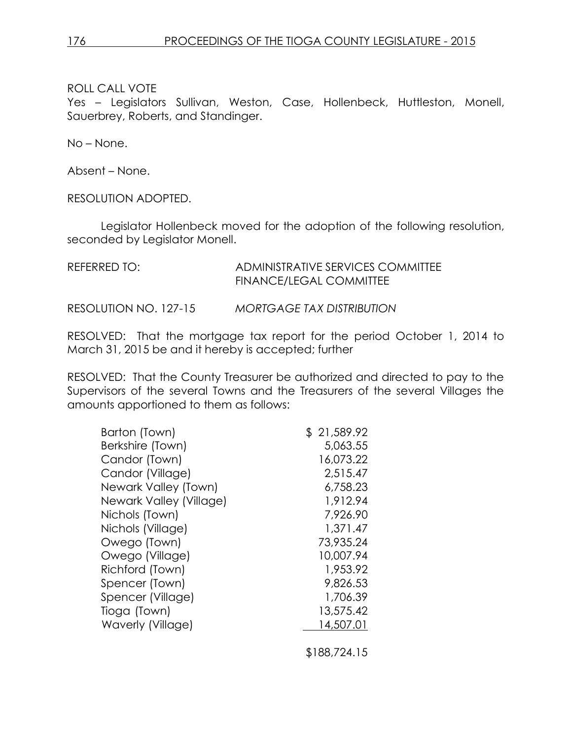Yes – Legislators Sullivan, Weston, Case, Hollenbeck, Huttleston, Monell, Sauerbrey, Roberts, and Standinger.

No – None.

Absent – None.

RESOLUTION ADOPTED.

Legislator Hollenbeck moved for the adoption of the following resolution, seconded by Legislator Monell.

| REFERRED TO:          | ADMINISTRATIVE SERVICES COMMITTEE<br>FINANCE/LEGAL COMMITTEE |
|-----------------------|--------------------------------------------------------------|
| RESOLUTION NO. 127-15 | <b>MORTGAGE TAX DISTRIBUTION</b>                             |

RESOLVED: That the mortgage tax report for the period October 1, 2014 to March 31, 2015 be and it hereby is accepted; further

RESOLVED: That the County Treasurer be authorized and directed to pay to the Supervisors of the several Towns and the Treasurers of the several Villages the amounts apportioned to them as follows:

| Barton (Town)           | \$21,589.92 |
|-------------------------|-------------|
| Berkshire (Town)        | 5,063.55    |
| Candor (Town)           | 16,073.22   |
| Candor (Village)        | 2,515.47    |
| Newark Valley (Town)    | 6,758.23    |
| Newark Valley (Village) | 1,912.94    |
| Nichols (Town)          | 7,926.90    |
| Nichols (Village)       | 1,371.47    |
| Owego (Town)            | 73,935.24   |
| Owego (Village)         | 10,007.94   |
| Richford (Town)         | 1,953.92    |
| Spencer (Town)          | 9,826.53    |
| Spencer (Village)       | 1,706.39    |
| Tioga (Town)            | 13,575.42   |
| Waverly (Village)       | 14,507.01   |
|                         |             |

\$188,724.15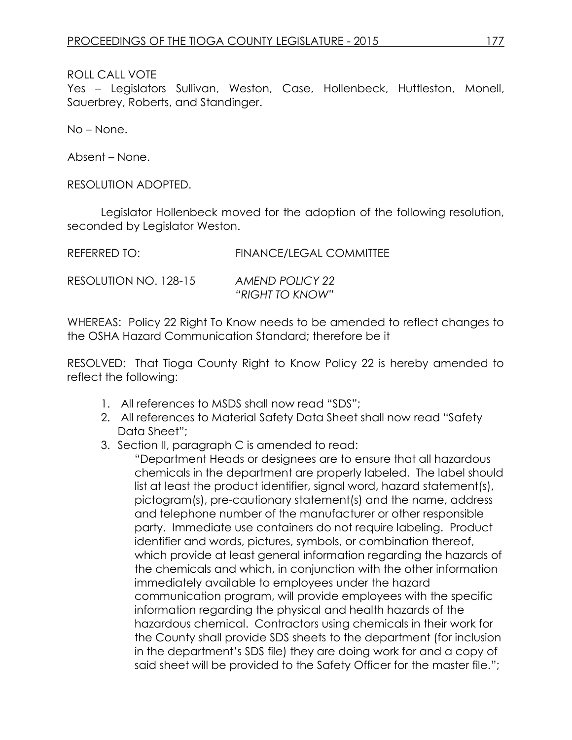Yes – Legislators Sullivan, Weston, Case, Hollenbeck, Huttleston, Monell, Sauerbrey, Roberts, and Standinger.

No – None.

Absent – None.

RESOLUTION ADOPTED.

Legislator Hollenbeck moved for the adoption of the following resolution, seconded by Legislator Weston.

| REFERRED TO:          | <b>FINANCE/LEGAL COMMITTEE</b>     |
|-----------------------|------------------------------------|
| RESOLUTION NO. 128-15 | AMEND POLICY 22<br>"RIGHT TO KNOW" |

WHEREAS: Policy 22 Right To Know needs to be amended to reflect changes to the OSHA Hazard Communication Standard; therefore be it

RESOLVED: That Tioga County Right to Know Policy 22 is hereby amended to reflect the following:

- 1. All references to MSDS shall now read "SDS";
- 2. All references to Material Safety Data Sheet shall now read "Safety Data Sheet":
- 3. Section II, paragraph C is amended to read:

"Department Heads or designees are to ensure that all hazardous chemicals in the department are properly labeled. The label should list at least the product identifier, signal word, hazard statement(s), pictogram(s), pre-cautionary statement(s) and the name, address and telephone number of the manufacturer or other responsible party. Immediate use containers do not require labeling. Product identifier and words, pictures, symbols, or combination thereof, which provide at least general information regarding the hazards of the chemicals and which, in conjunction with the other information immediately available to employees under the hazard communication program, will provide employees with the specific information regarding the physical and health hazards of the hazardous chemical. Contractors using chemicals in their work for the County shall provide SDS sheets to the department (for inclusion in the department's SDS file) they are doing work for and a copy of said sheet will be provided to the Safety Officer for the master file.";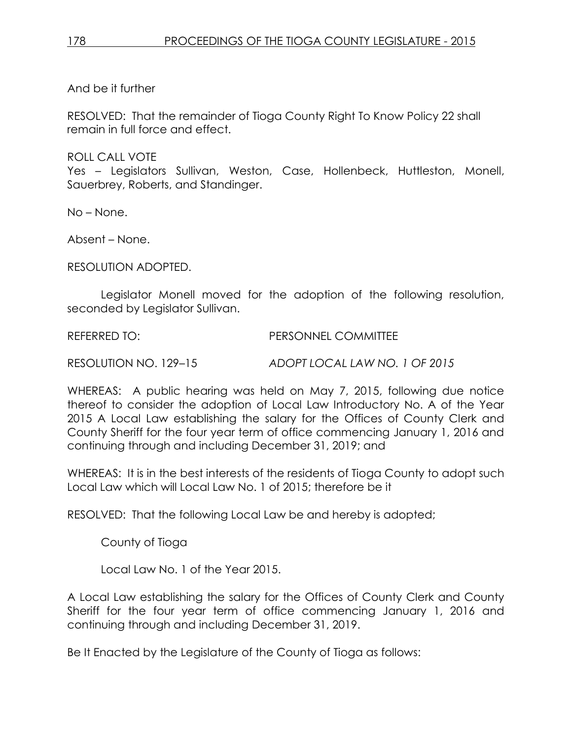And be it further

RESOLVED: That the remainder of Tioga County Right To Know Policy 22 shall remain in full force and effect.

ROLL CALL VOTE

Yes – Legislators Sullivan, Weston, Case, Hollenbeck, Huttleston, Monell, Sauerbrey, Roberts, and Standinger.

No – None.

Absent – None.

RESOLUTION ADOPTED.

Legislator Monell moved for the adoption of the following resolution, seconded by Legislator Sullivan.

REFERRED TO: PERSONNEL COMMITTEE

RESOLUTION NO. 129–15 *ADOPT LOCAL LAW NO. 1 OF 2015*

WHEREAS: A public hearing was held on May 7, 2015, following due notice thereof to consider the adoption of Local Law Introductory No. A of the Year 2015 A Local Law establishing the salary for the Offices of County Clerk and County Sheriff for the four year term of office commencing January 1, 2016 and continuing through and including December 31, 2019; and

WHEREAS: It is in the best interests of the residents of Tioga County to adopt such Local Law which will Local Law No. 1 of 2015; therefore be it

RESOLVED: That the following Local Law be and hereby is adopted;

County of Tioga

Local Law No. 1 of the Year 2015.

A Local Law establishing the salary for the Offices of County Clerk and County Sheriff for the four year term of office commencing January 1, 2016 and continuing through and including December 31, 2019.

Be It Enacted by the Legislature of the County of Tioga as follows: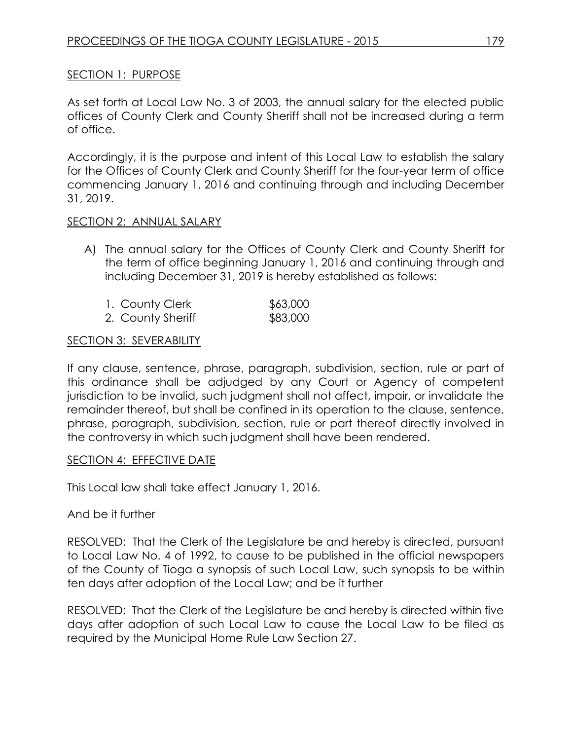# SECTION 1: PURPOSE

As set forth at Local Law No. 3 of 2003, the annual salary for the elected public offices of County Clerk and County Sheriff shall not be increased during a term of office.

Accordingly, it is the purpose and intent of this Local Law to establish the salary for the Offices of County Clerk and County Sheriff for the four-year term of office commencing January 1, 2016 and continuing through and including December 31, 2019.

#### SECTION 2: ANNUAL SALARY

A) The annual salary for the Offices of County Clerk and County Sheriff for the term of office beginning January 1, 2016 and continuing through and including December 31, 2019 is hereby established as follows:

| 1. County Clerk   | \$63,000 |
|-------------------|----------|
| 2. County Sheriff | \$83,000 |

# **SECTION 3: SEVERABILITY**

If any clause, sentence, phrase, paragraph, subdivision, section, rule or part of this ordinance shall be adjudged by any Court or Agency of competent jurisdiction to be invalid, such judgment shall not affect, impair, or invalidate the remainder thereof, but shall be confined in its operation to the clause, sentence, phrase, paragraph, subdivision, section, rule or part thereof directly involved in the controversy in which such judgment shall have been rendered.

# SECTION 4: EFFECTIVE DATE

This Local law shall take effect January 1, 2016.

# And be it further

RESOLVED: That the Clerk of the Legislature be and hereby is directed, pursuant to Local Law No. 4 of 1992, to cause to be published in the official newspapers of the County of Tioga a synopsis of such Local Law, such synopsis to be within ten days after adoption of the Local Law; and be it further

RESOLVED: That the Clerk of the Legislature be and hereby is directed within five days after adoption of such Local Law to cause the Local Law to be filed as required by the Municipal Home Rule Law Section 27.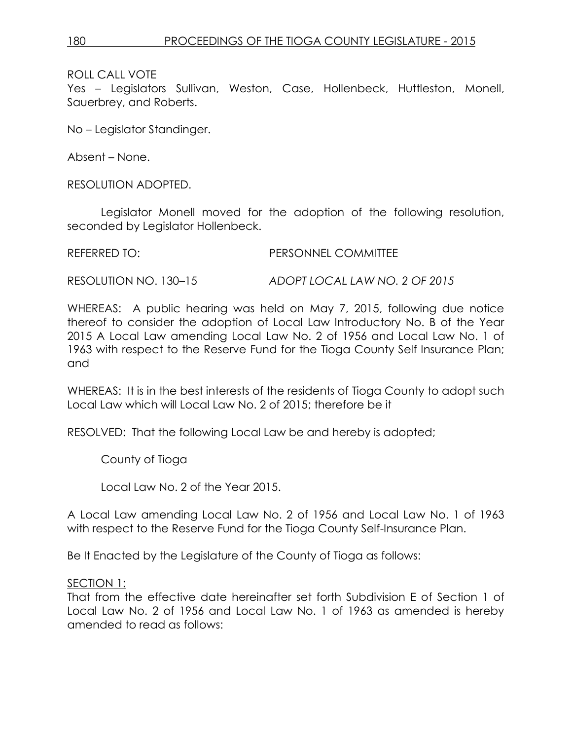Yes – Legislators Sullivan, Weston, Case, Hollenbeck, Huttleston, Monell, Sauerbrey, and Roberts.

No – Legislator Standinger.

Absent – None.

RESOLUTION ADOPTED.

Legislator Monell moved for the adoption of the following resolution, seconded by Legislator Hollenbeck.

REFERRED TO: PERSONNEL COMMITTEE

RESOLUTION NO. 130–15 *ADOPT LOCAL LAW NO. 2 OF 2015*

WHEREAS: A public hearing was held on May 7, 2015, following due notice thereof to consider the adoption of Local Law Introductory No. B of the Year 2015 A Local Law amending Local Law No. 2 of 1956 and Local Law No. 1 of 1963 with respect to the Reserve Fund for the Tioga County Self Insurance Plan; and

WHEREAS: It is in the best interests of the residents of Tioga County to adopt such Local Law which will Local Law No. 2 of 2015; therefore be it

RESOLVED: That the following Local Law be and hereby is adopted;

County of Tioga

Local Law No. 2 of the Year 2015.

A Local Law amending Local Law No. 2 of 1956 and Local Law No. 1 of 1963 with respect to the Reserve Fund for the Tioga County Self-Insurance Plan.

Be It Enacted by the Legislature of the County of Tioga as follows:

SECTION 1:

That from the effective date hereinafter set forth Subdivision E of Section 1 of Local Law No. 2 of 1956 and Local Law No. 1 of 1963 as amended is hereby amended to read as follows: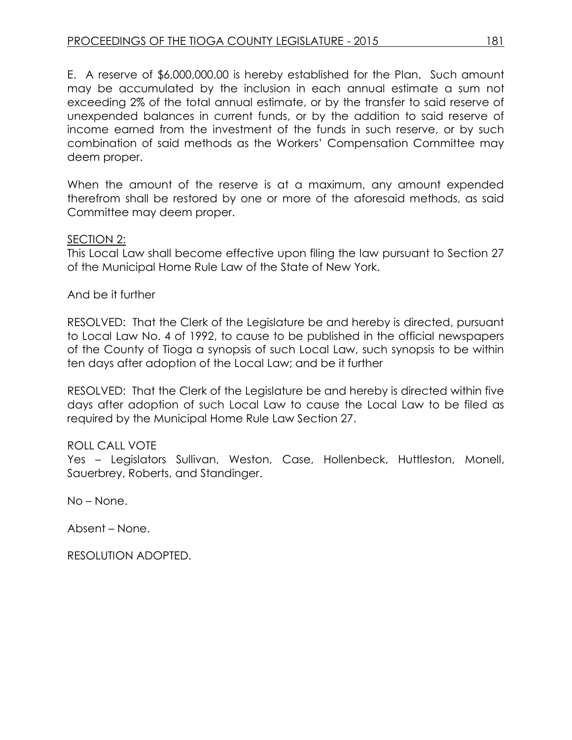E. A reserve of \$6,000,000.00 is hereby established for the Plan. Such amount may be accumulated by the inclusion in each annual estimate a sum not exceeding 2% of the total annual estimate, or by the transfer to said reserve of unexpended balances in current funds, or by the addition to said reserve of income earned from the investment of the funds in such reserve, or by such combination of said methods as the Workers' Compensation Committee may deem proper.

When the amount of the reserve is at a maximum, any amount expended therefrom shall be restored by one or more of the aforesaid methods, as said Committee may deem proper.

# SECTION 2:

This Local Law shall become effective upon filing the law pursuant to Section 27 of the Municipal Home Rule Law of the State of New York.

And be it further

RESOLVED: That the Clerk of the Legislature be and hereby is directed, pursuant to Local Law No. 4 of 1992, to cause to be published in the official newspapers of the County of Tioga a synopsis of such Local Law, such synopsis to be within ten days after adoption of the Local Law; and be it further

RESOLVED: That the Clerk of the Legislature be and hereby is directed within five days after adoption of such Local Law to cause the Local Law to be filed as required by the Municipal Home Rule Law Section 27.

# ROLL CALL VOTE

Yes – Legislators Sullivan, Weston, Case, Hollenbeck, Huttleston, Monell, Sauerbrey, Roberts, and Standinger.

No – None.

Absent – None.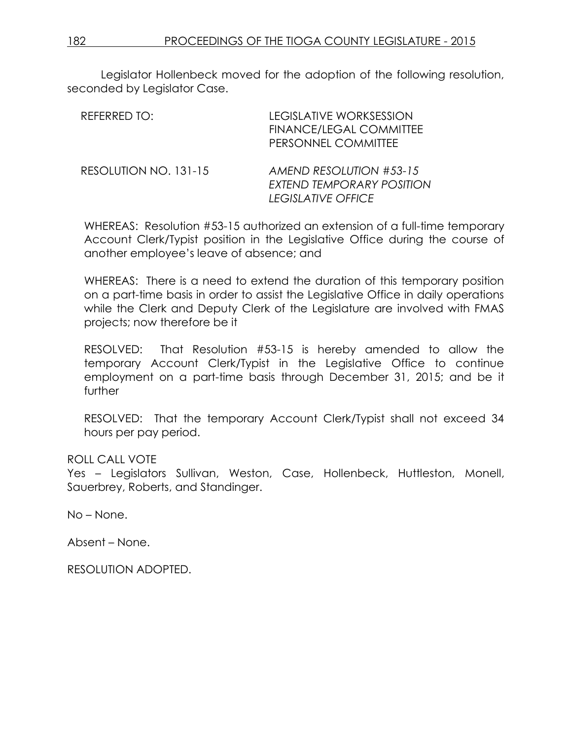Legislator Hollenbeck moved for the adoption of the following resolution, seconded by Legislator Case.

| REFERRED TO:          | <b>LEGISLATIVE WORKSESSION</b><br>FINANCE/LEGAL COMMITTEE<br>PERSONNEL COMMITTEE |
|-----------------------|----------------------------------------------------------------------------------|
| RESOLUTION NO. 131-15 | AMEND RESOLUTION #53-15<br>EXTEND TEMPORARY POSITION<br>LEGISLATIVE OFFICE       |

WHEREAS: Resolution #53-15 authorized an extension of a full-time temporary Account Clerk/Typist position in the Legislative Office during the course of another employee's leave of absence; and

WHEREAS: There is a need to extend the duration of this temporary position on a part-time basis in order to assist the Legislative Office in daily operations while the Clerk and Deputy Clerk of the Legislature are involved with FMAS projects; now therefore be it

RESOLVED: That Resolution #53-15 is hereby amended to allow the temporary Account Clerk/Typist in the Legislative Office to continue employment on a part-time basis through December 31, 2015; and be it further

RESOLVED: That the temporary Account Clerk/Typist shall not exceed 34 hours per pay period.

# ROLL CALL VOTE

Yes – Legislators Sullivan, Weston, Case, Hollenbeck, Huttleston, Monell, Sauerbrey, Roberts, and Standinger.

No – None.

Absent – None.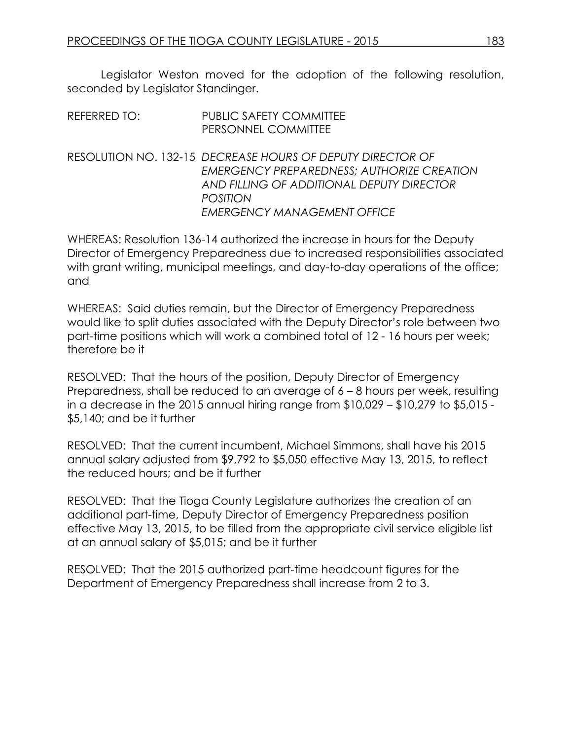Legislator Weston moved for the adoption of the following resolution, seconded by Legislator Standinger.

| REFERRED TO: | <b>PUBLIC SAFETY COMMITTEE</b> |
|--------------|--------------------------------|
|              | PERSONNEL COMMITTEE            |

RESOLUTION NO. 132-15 *DECREASE HOURS OF DEPUTY DIRECTOR OF EMERGENCY PREPAREDNESS; AUTHORIZE CREATION AND FILLING OF ADDITIONAL DEPUTY DIRECTOR POSITION EMERGENCY MANAGEMENT OFFICE*

WHEREAS: Resolution 136-14 authorized the increase in hours for the Deputy Director of Emergency Preparedness due to increased responsibilities associated with grant writing, municipal meetings, and day-to-day operations of the office; and

WHEREAS: Said duties remain, but the Director of Emergency Preparedness would like to split duties associated with the Deputy Director's role between two part-time positions which will work a combined total of 12 - 16 hours per week; therefore be it

RESOLVED: That the hours of the position, Deputy Director of Emergency Preparedness, shall be reduced to an average of 6 – 8 hours per week, resulting in a decrease in the 2015 annual hiring range from \$10,029 – \$10,279 to \$5,015 - \$5,140; and be it further

RESOLVED: That the current incumbent, Michael Simmons, shall have his 2015 annual salary adjusted from \$9,792 to \$5,050 effective May 13, 2015, to reflect the reduced hours; and be it further

RESOLVED: That the Tioga County Legislature authorizes the creation of an additional part-time, Deputy Director of Emergency Preparedness position effective May 13, 2015, to be filled from the appropriate civil service eligible list at an annual salary of \$5,015; and be it further

RESOLVED: That the 2015 authorized part-time headcount figures for the Department of Emergency Preparedness shall increase from 2 to 3.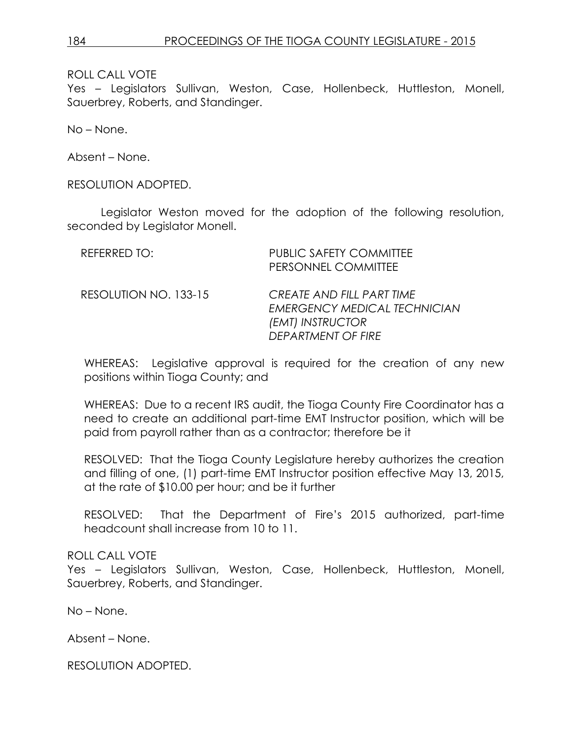Yes – Legislators Sullivan, Weston, Case, Hollenbeck, Huttleston, Monell, Sauerbrey, Roberts, and Standinger.

No – None.

Absent – None.

RESOLUTION ADOPTED.

Legislator Weston moved for the adoption of the following resolution, seconded by Legislator Monell.

| REFERRED TO:          | <b>PUBLIC SAFETY COMMITTEE</b><br>PERSONNEL COMMITTEE                                                      |
|-----------------------|------------------------------------------------------------------------------------------------------------|
| RESOLUTION NO. 133-15 | CREATE AND FILL PART TIME<br><b>EMERGENCY MEDICAL TECHNICIAN</b><br>(EMT) INSTRUCTOR<br>DEPARTMENT OF FIRE |

WHEREAS: Legislative approval is required for the creation of any new positions within Tioga County; and

WHEREAS: Due to a recent IRS audit, the Tioga County Fire Coordinator has a need to create an additional part-time EMT Instructor position, which will be paid from payroll rather than as a contractor; therefore be it

RESOLVED: That the Tioga County Legislature hereby authorizes the creation and filling of one, (1) part-time EMT Instructor position effective May 13, 2015, at the rate of \$10.00 per hour; and be it further

RESOLVED: That the Department of Fire's 2015 authorized, part-time headcount shall increase from 10 to 11.

# ROLL CALL VOTE

Yes – Legislators Sullivan, Weston, Case, Hollenbeck, Huttleston, Monell, Sauerbrey, Roberts, and Standinger.

No – None.

Absent – None.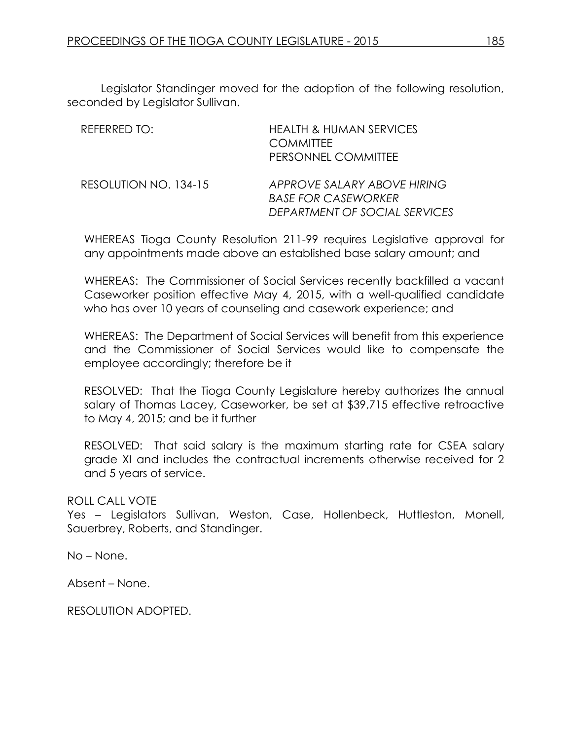Legislator Standinger moved for the adoption of the following resolution, seconded by Legislator Sullivan.

| REFERRED TO:          | <b>HEALTH &amp; HUMAN SERVICES</b><br><b>COMMITTEE</b><br>PERSONNEL COMMITTEE              |
|-----------------------|--------------------------------------------------------------------------------------------|
| RESOLUTION NO. 134-15 | APPROVE SALARY ABOVE HIRING<br><b>BASE FOR CASEWORKER</b><br>DEPARTMENT OF SOCIAL SERVICES |

WHEREAS Tioga County Resolution 211-99 requires Legislative approval for any appointments made above an established base salary amount; and

WHEREAS: The Commissioner of Social Services recently backfilled a vacant Caseworker position effective May 4, 2015, with a well-qualified candidate who has over 10 years of counseling and casework experience; and

WHEREAS: The Department of Social Services will benefit from this experience and the Commissioner of Social Services would like to compensate the employee accordingly; therefore be it

RESOLVED: That the Tioga County Legislature hereby authorizes the annual salary of Thomas Lacey, Caseworker, be set at \$39,715 effective retroactive to May 4, 2015; and be it further

RESOLVED: That said salary is the maximum starting rate for CSEA salary grade XI and includes the contractual increments otherwise received for 2 and 5 years of service.

# ROLL CALL VOTE

Yes – Legislators Sullivan, Weston, Case, Hollenbeck, Huttleston, Monell, Sauerbrey, Roberts, and Standinger.

No – None.

Absent – None.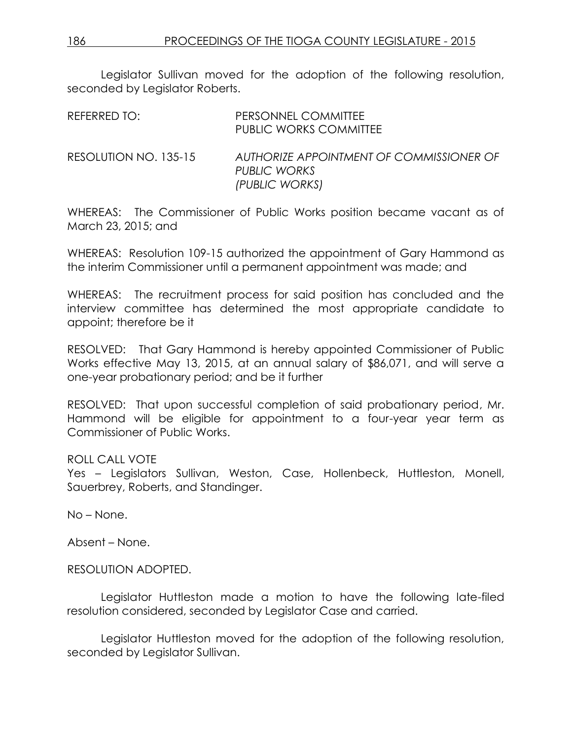Legislator Sullivan moved for the adoption of the following resolution, seconded by Legislator Roberts.

| REFERRED TO:          | PERSONNEL COMMITTEE<br><b>PUBLIC WORKS COMMITTEE</b>                       |
|-----------------------|----------------------------------------------------------------------------|
| RESOLUTION NO. 135-15 | AUTHORIZE APPOINTMENT OF COMMISSIONER OF<br>PUBLIC WORKS<br>(PUBLIC WORKS) |

WHEREAS: The Commissioner of Public Works position became vacant as of March 23, 2015; and

WHEREAS: Resolution 109-15 authorized the appointment of Gary Hammond as the interim Commissioner until a permanent appointment was made; and

WHEREAS: The recruitment process for said position has concluded and the interview committee has determined the most appropriate candidate to appoint; therefore be it

RESOLVED: That Gary Hammond is hereby appointed Commissioner of Public Works effective May 13, 2015, at an annual salary of \$86,071, and will serve a one-year probationary period; and be it further

RESOLVED: That upon successful completion of said probationary period, Mr. Hammond will be eligible for appointment to a four-year year term as Commissioner of Public Works.

# ROLL CALL VOTE

Yes – Legislators Sullivan, Weston, Case, Hollenbeck, Huttleston, Monell, Sauerbrey, Roberts, and Standinger.

No – None.

Absent – None.

RESOLUTION ADOPTED.

Legislator Huttleston made a motion to have the following late-filed resolution considered, seconded by Legislator Case and carried.

Legislator Huttleston moved for the adoption of the following resolution, seconded by Legislator Sullivan.